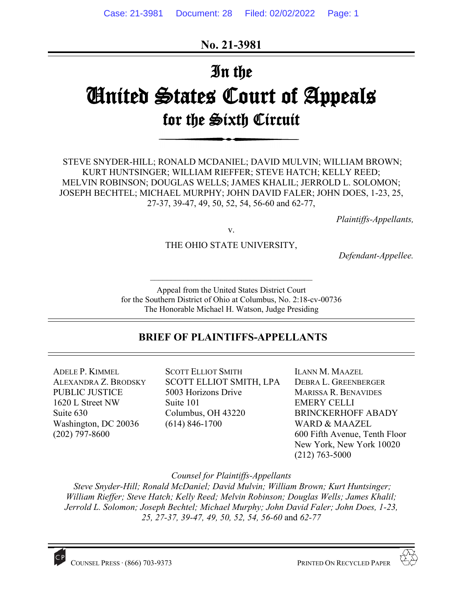**No. 21-3981**

# In the United States Court of Appeals for the Sixth Circuit

STEVE SNYDER-HILL; RONALD MCDANIEL; DAVID MULVIN; WILLIAM BROWN; KURT HUNTSINGER; WILLIAM RIEFFER; STEVE HATCH; KELLY REED; MELVIN ROBINSON; DOUGLAS WELLS; JAMES KHALIL; JERROLD L. SOLOMON; JOSEPH BECHTEL; MICHAEL MURPHY; JOHN DAVID FALER; JOHN DOES, 1-23, 25, 27-37, 39-47, 49, 50, 52, 54, 56-60 and 62-77,

*Plaintiffs-Appellants,*

v.

THE OHIO STATE UNIVERSITY,

*Defendant-Appellee.*

Appeal from the United States District Court for the Southern District of Ohio at Columbus, No. 2:18-cv-00736 The Honorable Michael H. Watson, Judge Presiding

 $\mathcal{L}_\text{max}$  , and the set of the set of the set of the set of the set of the set of the set of the set of the set of the set of the set of the set of the set of the set of the set of the set of the set of the set of the

# **BRIEF OF PLAINTIFFS-APPELLANTS**

ADELE P. KIMMEL ALEXANDRA Z. BRODSKY PUBLIC JUSTICE 1620 L Street NW Suite 630 Washington, DC 20036 (202) 797-8600

SCOTT ELLIOT SMITH SCOTT ELLIOT SMITH, LPA 5003 Horizons Drive Suite 101 Columbus, OH 43220 (614) 846-1700

ILANN M. MAAZEL DEBRA L. GREENBERGER MARISSA R. BENAVIDES EMERY CELLI BRINCKERHOFF ABADY WARD & MAAZEL 600 Fifth Avenue, Tenth Floor New York, New York 10020 (212) 763-5000

*Counsel for Plaintiffs-Appellants*

*Steve Snyder-Hill; Ronald McDaniel; David Mulvin; William Brown; Kurt Huntsinger; William Rieffer; Steve Hatch; Kelly Reed; Melvin Robinson; Douglas Wells; James Khalil; Jerrold L. Solomon; Joseph Bechtel; Michael Murphy; John David Faler; John Does, 1-23, 25, 27-37, 39-47, 49, 50, 52, 54, 56-60* and *62-77*

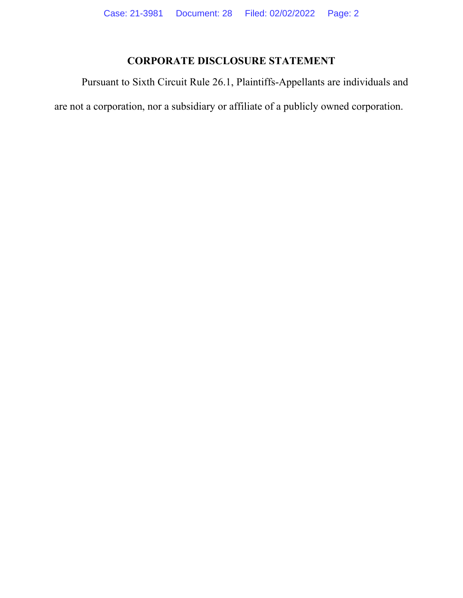# **CORPORATE DISCLOSURE STATEMENT**

Pursuant to Sixth Circuit Rule 26.1, Plaintiffs-Appellants are individuals and are not a corporation, nor a subsidiary or affiliate of a publicly owned corporation.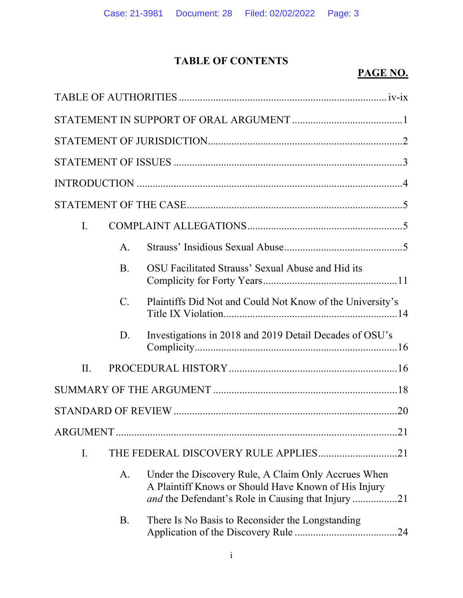# **TABLE OF CONTENTS**

# **PAGE NO.**

| I.  |             |                                                                                                                                                                          |
|-----|-------------|--------------------------------------------------------------------------------------------------------------------------------------------------------------------------|
|     | A.          |                                                                                                                                                                          |
|     | <b>B.</b>   | OSU Facilitated Strauss' Sexual Abuse and Hid its                                                                                                                        |
|     | $C_{\cdot}$ | Plaintiffs Did Not and Could Not Know of the University's                                                                                                                |
|     | D.          | Investigations in 2018 and 2019 Detail Decades of OSU's                                                                                                                  |
| II. |             |                                                                                                                                                                          |
|     |             |                                                                                                                                                                          |
|     |             |                                                                                                                                                                          |
|     |             |                                                                                                                                                                          |
| I.  |             |                                                                                                                                                                          |
|     | A.          | Under the Discovery Rule, A Claim Only Accrues When<br>A Plaintiff Knows or Should Have Known of His Injury<br><i>and</i> the Defendant's Role in Causing that Injury 21 |
|     | <b>B.</b>   | There Is No Basis to Reconsider the Longstanding                                                                                                                         |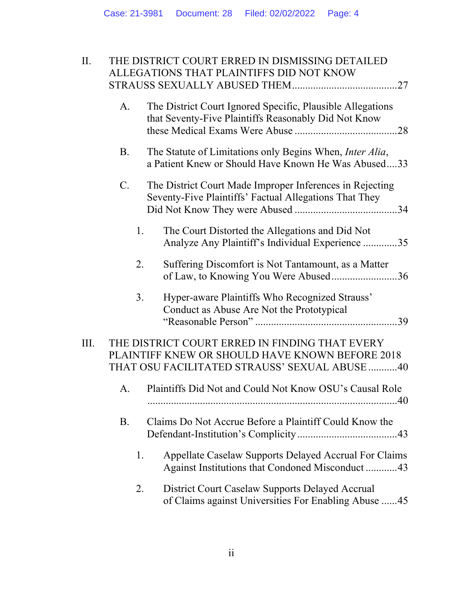| II.<br>THE DISTRICT COURT ERRED IN DISMISSING DETAILED<br>ALLEGATIONS THAT PLAINTIFFS DID NOT KNOW |             |                                                                                                                                                    |
|----------------------------------------------------------------------------------------------------|-------------|----------------------------------------------------------------------------------------------------------------------------------------------------|
|                                                                                                    | A.          | The District Court Ignored Specific, Plausible Allegations<br>that Seventy-Five Plaintiffs Reasonably Did Not Know                                 |
|                                                                                                    | <b>B.</b>   | The Statute of Limitations only Begins When, Inter Alia,<br>a Patient Knew or Should Have Known He Was Abused33                                    |
|                                                                                                    | $C_{\cdot}$ | The District Court Made Improper Inferences in Rejecting<br>Seventy-Five Plaintiffs' Factual Allegations That They                                 |
|                                                                                                    | 1.          | The Court Distorted the Allegations and Did Not<br>Analyze Any Plaintiff's Individual Experience 35                                                |
|                                                                                                    | 2.          | Suffering Discomfort is Not Tantamount, as a Matter<br>of Law, to Knowing You Were Abused36                                                        |
|                                                                                                    | 3.          | Hyper-aware Plaintiffs Who Recognized Strauss'<br>Conduct as Abuse Are Not the Prototypical                                                        |
| III.                                                                                               |             | THE DISTRICT COURT ERRED IN FINDING THAT EVERY<br>PLAINTIFF KNEW OR SHOULD HAVE KNOWN BEFORE 2018<br>THAT OSU FACILITATED STRAUSS' SEXUAL ABUSE 40 |
|                                                                                                    | A.          | Plaintiffs Did Not and Could Not Know OSU's Causal Role                                                                                            |
|                                                                                                    | <b>B.</b>   | Claims Do Not Accrue Before a Plaintiff Could Know the                                                                                             |
|                                                                                                    | 1.          | Appellate Caselaw Supports Delayed Accrual For Claims<br>Against Institutions that Condoned Misconduct43                                           |
|                                                                                                    | 2.          | District Court Caselaw Supports Delayed Accrual<br>of Claims against Universities For Enabling Abuse  45                                           |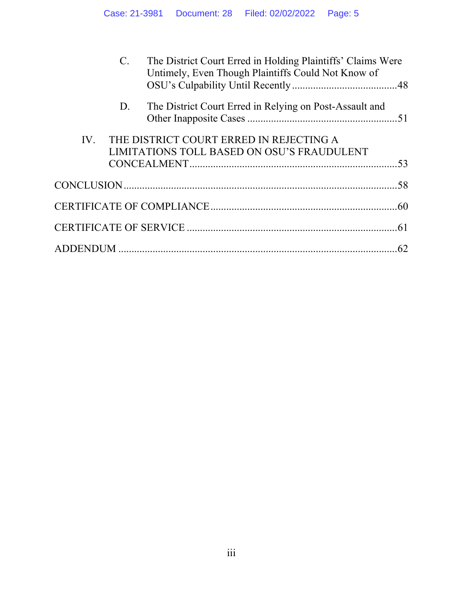|     | $C$ . | The District Court Erred in Holding Plaintiffs' Claims Were<br>Untimely, Even Though Plaintiffs Could Not Know of |  |
|-----|-------|-------------------------------------------------------------------------------------------------------------------|--|
|     | D.    | The District Court Erred in Relying on Post-Assault and                                                           |  |
| IV. |       | THE DISTRICT COURT ERRED IN REJECTING A<br>LIMITATIONS TOLL BASED ON OSU'S FRAUDULENT                             |  |
|     |       |                                                                                                                   |  |
|     |       |                                                                                                                   |  |
|     |       |                                                                                                                   |  |
|     |       |                                                                                                                   |  |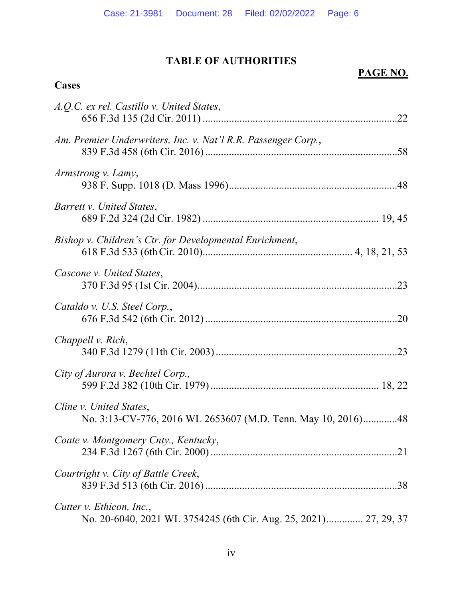# **TABLE OF AUTHORITIES**

**Cases**

# **PAGE NO.**

| A.Q.C. ex rel. Castillo v. United States,                                                    |
|----------------------------------------------------------------------------------------------|
| Am. Premier Underwriters, Inc. v. Nat'l R.R. Passenger Corp.,                                |
| Armstrong v. Lamy,                                                                           |
| Barrett v. United States,                                                                    |
| Bishop v. Children's Ctr. for Developmental Enrichment,                                      |
| Cascone v. United States,                                                                    |
| Cataldo v. U.S. Steel Corp.,                                                                 |
| Chappell v. Rich,                                                                            |
| City of Aurora v. Bechtel Corp.,                                                             |
| Cline v. United States,<br>No. 3:13-CV-776, 2016 WL 2653607 (M.D. Tenn. May 10, 2016)48      |
| Coate v. Montgomery Cnty., Kentucky,                                                         |
| Courtright v. City of Battle Creek,                                                          |
| Cutter v. Ethicon, Inc.,<br>No. 20-6040, 2021 WL 3754245 (6th Cir. Aug. 25, 2021) 27, 29, 37 |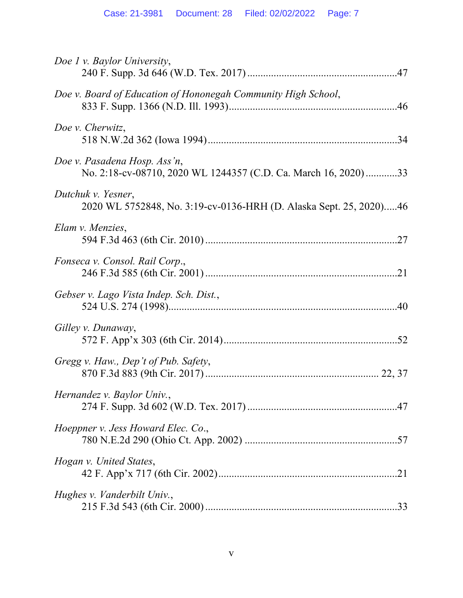| Doe 1 v. Baylor University,                                                                     |
|-------------------------------------------------------------------------------------------------|
| Doe v. Board of Education of Hononegah Community High School,                                   |
| Doe v. Cherwitz,                                                                                |
| Doe v. Pasadena Hosp. Ass'n,<br>No. 2:18-cv-08710, 2020 WL 1244357 (C.D. Ca. March 16, 2020) 33 |
| Dutchuk v. Yesner,<br>2020 WL 5752848, No. 3:19-cv-0136-HRH (D. Alaska Sept. 25, 2020)46        |
| Elam v. Menzies,                                                                                |
| Fonseca v. Consol. Rail Corp.,                                                                  |
| Gebser v. Lago Vista Indep. Sch. Dist.,                                                         |
| Gilley v. Dunaway,                                                                              |
| Gregg v. Haw., Dep't of Pub. Safety,                                                            |
| Hernandez v. Baylor Univ.,                                                                      |
| Hoeppner v. Jess Howard Elec. Co.,                                                              |
| Hogan v. United States,                                                                         |
| Hughes v. Vanderbilt Univ.,                                                                     |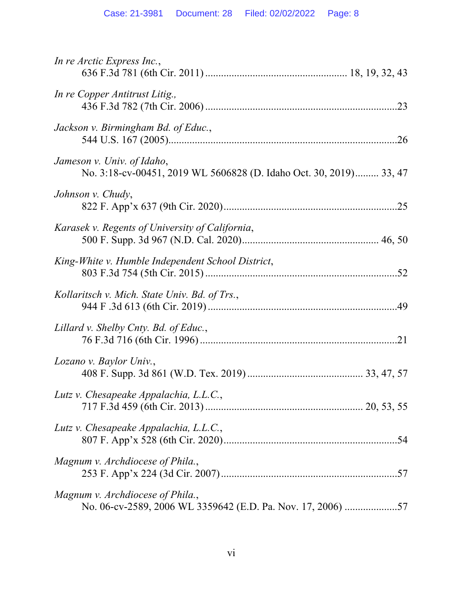| In re Arctic Express Inc.,                                                                       |
|--------------------------------------------------------------------------------------------------|
| In re Copper Antitrust Litig.,                                                                   |
| Jackson v. Birmingham Bd. of Educ.,                                                              |
| Jameson v. Univ. of Idaho,<br>No. 3:18-cv-00451, 2019 WL 5606828 (D. Idaho Oct. 30, 2019) 33, 47 |
| Johnson v. Chudy,                                                                                |
| Karasek v. Regents of University of California,                                                  |
| King-White v. Humble Independent School District,                                                |
| Kollaritsch v. Mich. State Univ. Bd. of Trs.,                                                    |
| Lillard v. Shelby Cnty. Bd. of Educ.,                                                            |
| Lozano v. Baylor Univ.,                                                                          |
| Lutz v. Chesapeake Appalachia, L.L.C.,                                                           |
| Lutz v. Chesapeake Appalachia, L.L.C.,                                                           |
| Magnum v. Archdiocese of Phila.,                                                                 |
| Magnum v. Archdiocese of Phila.,<br>No. 06-cv-2589, 2006 WL 3359642 (E.D. Pa. Nov. 17, 2006) 57  |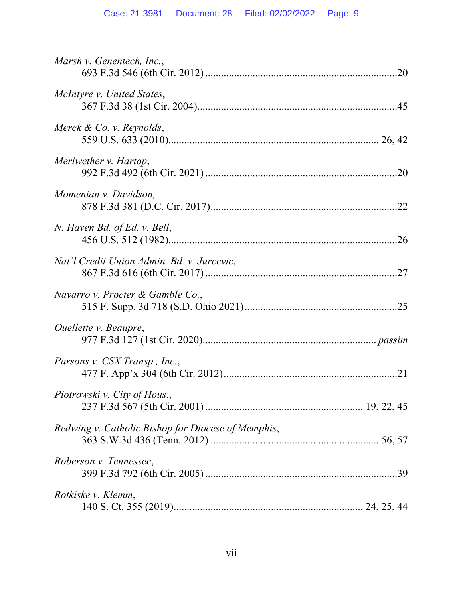| Marsh v. Genentech, Inc.,                          |
|----------------------------------------------------|
| McIntyre v. United States,                         |
| Merck & Co. v. Reynolds,                           |
| Meriwether v. Hartop,                              |
| Momenian v. Davidson,                              |
| N. Haven Bd. of Ed. v. Bell,                       |
| Nat'l Credit Union Admin. Bd. v. Jurcevic,         |
| Navarro v. Procter & Gamble Co.,                   |
| <i>Ouellette v. Beaupre,</i>                       |
| Parsons v. CSX Transp., Inc.,                      |
| Piotrowski v. City of Hous.,                       |
| Redwing v. Catholic Bishop for Diocese of Memphis, |
| Roberson v. Tennessee,                             |
| Rotkiske v. Klemm,                                 |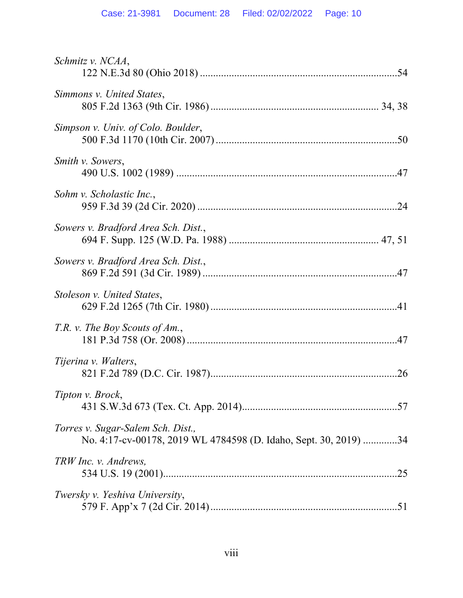| Schmitz v. NCAA,                                                                                      |
|-------------------------------------------------------------------------------------------------------|
| Simmons v. United States,                                                                             |
| Simpson v. Univ. of Colo. Boulder,                                                                    |
| Smith v. Sowers,                                                                                      |
| Sohm v. Scholastic Inc.,                                                                              |
| Sowers v. Bradford Area Sch. Dist.,                                                                   |
| Sowers v. Bradford Area Sch. Dist.,                                                                   |
| Stoleson v. United States,                                                                            |
| T.R. v. The Boy Scouts of Am.,                                                                        |
| Tijerina v. Walters,                                                                                  |
| Tipton v. Brock,                                                                                      |
| Torres v. Sugar-Salem Sch. Dist.,<br>No. 4:17-cv-00178, 2019 WL 4784598 (D. Idaho, Sept. 30, 2019) 34 |
| TRW Inc. v. Andrews,                                                                                  |
| Twersky v. Yeshiva University,                                                                        |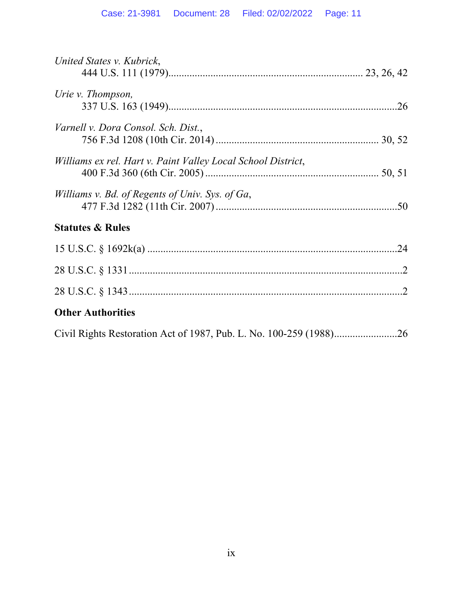| United States v. Kubrick,                                    |
|--------------------------------------------------------------|
| Urie v. Thompson,                                            |
| Varnell v. Dora Consol. Sch. Dist.,                          |
| Williams ex rel. Hart v. Paint Valley Local School District, |
| Williams v. Bd. of Regents of Univ. Sys. of Ga,              |
| <b>Statutes &amp; Rules</b>                                  |
|                                                              |
|                                                              |
|                                                              |
| <b>Other Authorities</b>                                     |
|                                                              |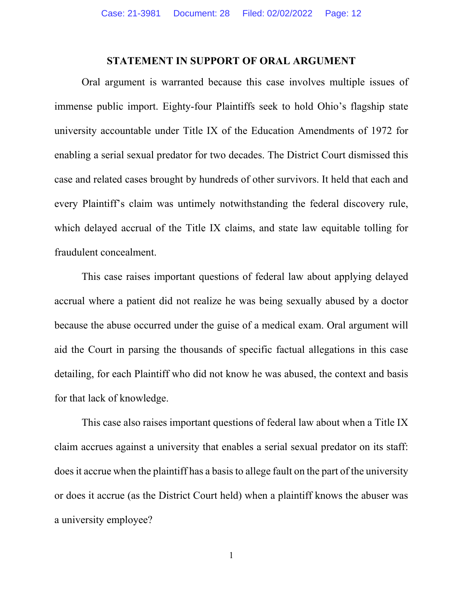#### **STATEMENT IN SUPPORT OF ORAL ARGUMENT**

Oral argument is warranted because this case involves multiple issues of immense public import. Eighty-four Plaintiffs seek to hold Ohio's flagship state university accountable under Title IX of the Education Amendments of 1972 for enabling a serial sexual predator for two decades. The District Court dismissed this case and related cases brought by hundreds of other survivors. It held that each and every Plaintiff's claim was untimely notwithstanding the federal discovery rule, which delayed accrual of the Title IX claims, and state law equitable tolling for fraudulent concealment.

This case raises important questions of federal law about applying delayed accrual where a patient did not realize he was being sexually abused by a doctor because the abuse occurred under the guise of a medical exam. Oral argument will aid the Court in parsing the thousands of specific factual allegations in this case detailing, for each Plaintiff who did not know he was abused, the context and basis for that lack of knowledge.

This case also raises important questions of federal law about when a Title IX claim accrues against a university that enables a serial sexual predator on its staff: does it accrue when the plaintiff has a basis to allege fault on the part of the university or does it accrue (as the District Court held) when a plaintiff knows the abuser was a university employee?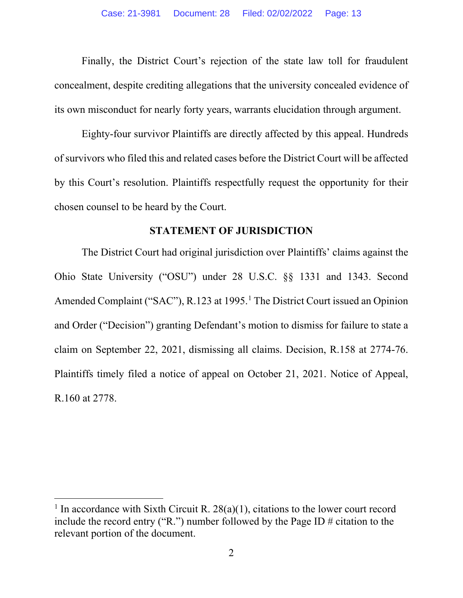Finally, the District Court's rejection of the state law toll for fraudulent concealment, despite crediting allegations that the university concealed evidence of its own misconduct for nearly forty years, warrants elucidation through argument.

Eighty-four survivor Plaintiffs are directly affected by this appeal. Hundreds of survivors who filed this and related cases before the District Court will be affected by this Court's resolution. Plaintiffs respectfully request the opportunity for their chosen counsel to be heard by the Court.

#### **STATEMENT OF JURISDICTION**

The District Court had original jurisdiction over Plaintiffs' claims against the Ohio State University ("OSU") under 28 U.S.C. §§ 1331 and 1343. Second Amended Complaint ("SAC"), R.123 at 1995. [1](#page-12-0) The District Court issued an Opinion and Order ("Decision") granting Defendant's motion to dismiss for failure to state a claim on September 22, 2021, dismissing all claims. Decision, R.158 at 2774-76. Plaintiffs timely filed a notice of appeal on October 21, 2021. Notice of Appeal, R.160 at 2778.

<span id="page-12-0"></span><sup>&</sup>lt;sup>1</sup> In accordance with Sixth Circuit R.  $28(a)(1)$ , citations to the lower court record include the record entry ("R.") number followed by the Page ID  $\#$  citation to the relevant portion of the document.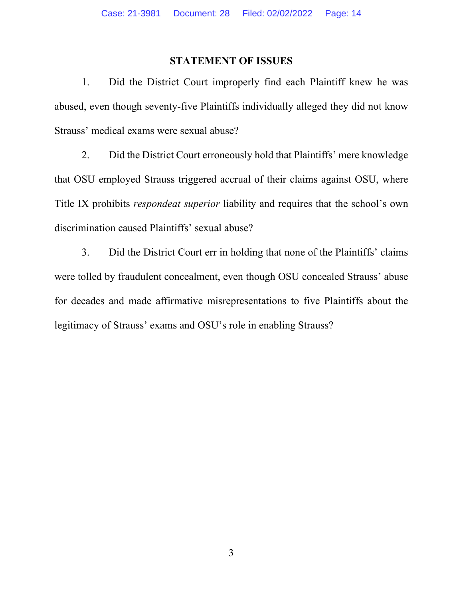#### **STATEMENT OF ISSUES**

1. Did the District Court improperly find each Plaintiff knew he was abused, even though seventy-five Plaintiffs individually alleged they did not know Strauss' medical exams were sexual abuse?

2. Did the District Court erroneously hold that Plaintiffs' mere knowledge that OSU employed Strauss triggered accrual of their claims against OSU, where Title IX prohibits *respondeat superior* liability and requires that the school's own discrimination caused Plaintiffs' sexual abuse?

3. Did the District Court err in holding that none of the Plaintiffs' claims were tolled by fraudulent concealment, even though OSU concealed Strauss' abuse for decades and made affirmative misrepresentations to five Plaintiffs about the legitimacy of Strauss' exams and OSU's role in enabling Strauss?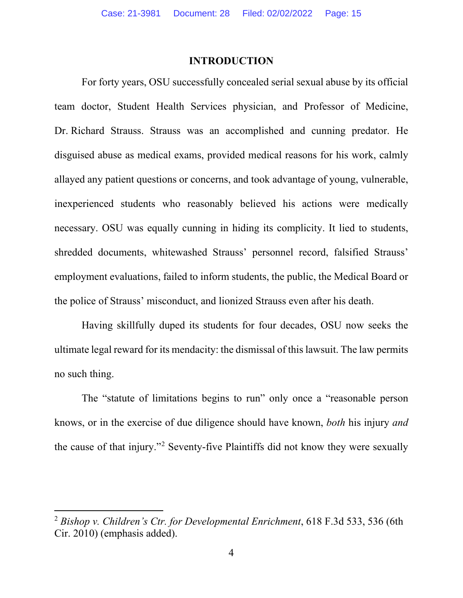#### **INTRODUCTION**

For forty years, OSU successfully concealed serial sexual abuse by its official team doctor, Student Health Services physician, and Professor of Medicine, Dr. Richard Strauss. Strauss was an accomplished and cunning predator. He disguised abuse as medical exams, provided medical reasons for his work, calmly allayed any patient questions or concerns, and took advantage of young, vulnerable, inexperienced students who reasonably believed his actions were medically necessary. OSU was equally cunning in hiding its complicity. It lied to students, shredded documents, whitewashed Strauss' personnel record, falsified Strauss' employment evaluations, failed to inform students, the public, the Medical Board or the police of Strauss' misconduct, and lionized Strauss even after his death.

Having skillfully duped its students for four decades, OSU now seeks the ultimate legal reward for its mendacity: the dismissal of this lawsuit. The law permits no such thing.

The "statute of limitations begins to run" only once a "reasonable person knows, or in the exercise of due diligence should have known, *both* his injury *and* the cause of that injury."[2](#page-14-0) Seventy-five Plaintiffs did not know they were sexually

<span id="page-14-0"></span><sup>2</sup> *Bishop v. Children's Ctr. for Developmental Enrichment*, 618 F.3d 533, 536 (6th Cir. 2010) (emphasis added).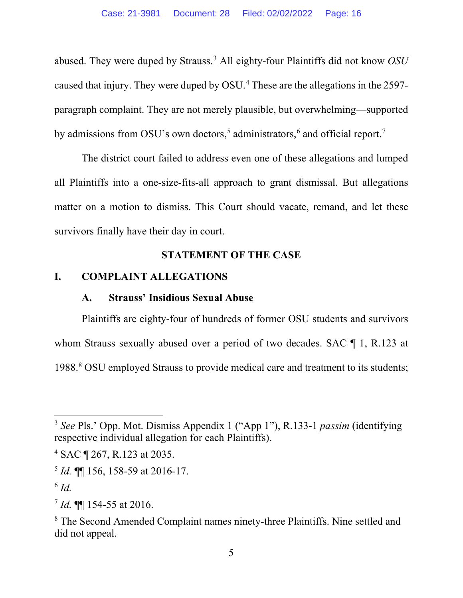abused. They were duped by Strauss.[3](#page-15-0) All eighty-four Plaintiffs did not know *OSU* caused that injury. They were duped by OSU.[4](#page-15-1) These are the allegations in the 2597 paragraph complaint. They are not merely plausible, but overwhelming—supported by admissions from OSU's own doctors,<sup>[5](#page-15-2)</sup> administrators,<sup>[6](#page-15-3)</sup> and official report.<sup>[7](#page-15-4)</sup>

The district court failed to address even one of these allegations and lumped all Plaintiffs into a one-size-fits-all approach to grant dismissal. But allegations matter on a motion to dismiss. This Court should vacate, remand, and let these survivors finally have their day in court.

## **STATEMENT OF THE CASE**

#### **I. COMPLAINT ALLEGATIONS**

## **A. Strauss' Insidious Sexual Abuse**

Plaintiffs are eighty-four of hundreds of former OSU students and survivors whom Strauss sexually abused over a period of two decades. SAC  $\P$  1, R.123 at 1988. [8](#page-15-5) OSU employed Strauss to provide medical care and treatment to its students;

<span id="page-15-0"></span><sup>3</sup> *See* Pls.' Opp. Mot. Dismiss Appendix 1 ("App 1"), R.133-1 *passim* (identifying respective individual allegation for each Plaintiffs).

<span id="page-15-1"></span><sup>4</sup> SAC ¶ 267, R.123 at 2035.

<span id="page-15-2"></span><sup>5</sup> *Id.* ¶¶ 156, 158-59 at 2016-17.

<span id="page-15-3"></span> $^6$  *Id.* 

<span id="page-15-4"></span><sup>7</sup> *Id.* ¶¶ 154-55 at 2016.

<span id="page-15-5"></span><sup>8</sup> The Second Amended Complaint names ninety-three Plaintiffs. Nine settled and did not appeal.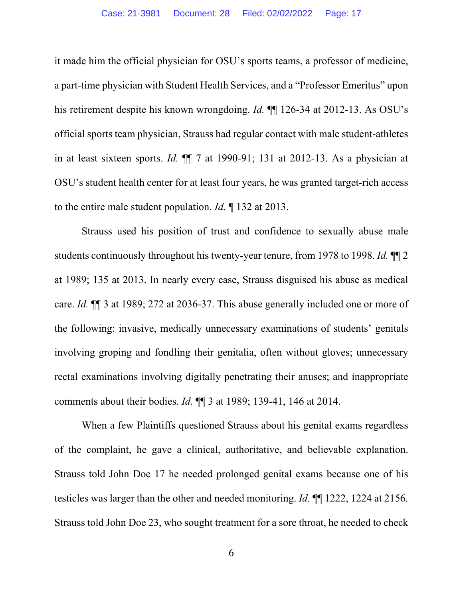it made him the official physician for OSU's sports teams, a professor of medicine, a part-time physician with Student Health Services, and a "Professor Emeritus" upon his retirement despite his known wrongdoing. *Id.* ¶¶ 126-34 at 2012-13. As OSU's official sports team physician, Strauss had regular contact with male student-athletes in at least sixteen sports. *Id.* ¶¶ 7 at 1990-91; 131 at 2012-13. As a physician at OSU's student health center for at least four years, he was granted target-rich access to the entire male student population. *Id.* ¶ 132 at 2013.

Strauss used his position of trust and confidence to sexually abuse male students continuously throughout his twenty-year tenure, from 1978 to 1998. *Id.* ¶¶ 2 at 1989; 135 at 2013. In nearly every case, Strauss disguised his abuse as medical care. *Id.* ¶¶ 3 at 1989; 272 at 2036-37. This abuse generally included one or more of the following: invasive, medically unnecessary examinations of students' genitals involving groping and fondling their genitalia, often without gloves; unnecessary rectal examinations involving digitally penetrating their anuses; and inappropriate comments about their bodies. *Id.* ¶¶ 3 at 1989; 139-41, 146 at 2014.

When a few Plaintiffs questioned Strauss about his genital exams regardless of the complaint, he gave a clinical, authoritative, and believable explanation. Strauss told John Doe 17 he needed prolonged genital exams because one of his testicles was larger than the other and needed monitoring. *Id.* ¶¶ 1222, 1224 at 2156. Strauss told John Doe 23, who sought treatment for a sore throat, he needed to check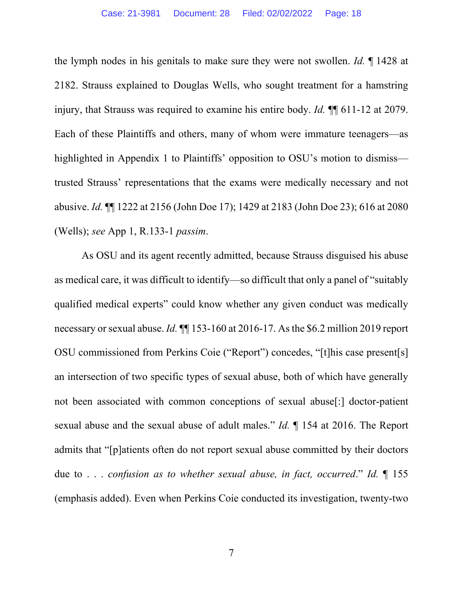the lymph nodes in his genitals to make sure they were not swollen. *Id.* ¶ 1428 at 2182. Strauss explained to Douglas Wells, who sought treatment for a hamstring injury, that Strauss was required to examine his entire body. *Id.* ¶¶ 611-12 at 2079. Each of these Plaintiffs and others, many of whom were immature teenagers—as highlighted in Appendix 1 to Plaintiffs' opposition to OSU's motion to dismiss trusted Strauss' representations that the exams were medically necessary and not abusive. *Id.* ¶¶ 1222 at 2156 (John Doe 17); 1429 at 2183 (John Doe 23); 616 at 2080 (Wells); *see* App 1, R.133-1 *passim*.

As OSU and its agent recently admitted, because Strauss disguised his abuse as medical care, it was difficult to identify—so difficult that only a panel of "suitably qualified medical experts" could know whether any given conduct was medically necessary or sexual abuse. *Id.* ¶¶ 153-160 at 2016-17. As the \$6.2 million 2019 report OSU commissioned from Perkins Coie ("Report") concedes, "[t]his case present[s] an intersection of two specific types of sexual abuse, both of which have generally not been associated with common conceptions of sexual abuse[:] doctor-patient sexual abuse and the sexual abuse of adult males." *Id.* ¶ 154 at 2016. The Report admits that "[p]atients often do not report sexual abuse committed by their doctors due to . . . *confusion as to whether sexual abuse, in fact, occurred*." *Id.* ¶ 155 (emphasis added). Even when Perkins Coie conducted its investigation, twenty-two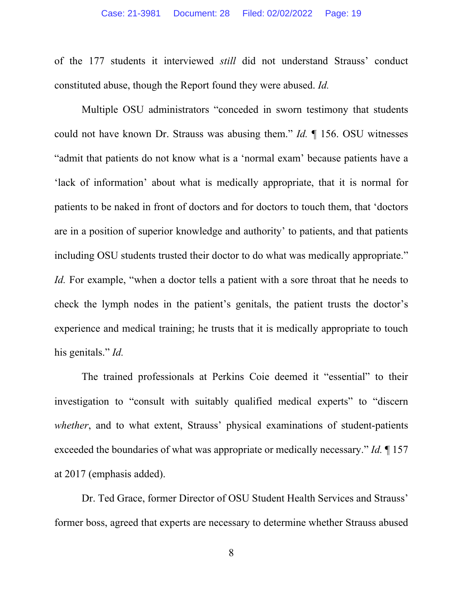of the 177 students it interviewed *still* did not understand Strauss' conduct constituted abuse, though the Report found they were abused. *Id.*

Multiple OSU administrators "conceded in sworn testimony that students could not have known Dr. Strauss was abusing them." *Id.* ¶ 156. OSU witnesses "admit that patients do not know what is a 'normal exam' because patients have a 'lack of information' about what is medically appropriate, that it is normal for patients to be naked in front of doctors and for doctors to touch them, that 'doctors are in a position of superior knowledge and authority' to patients, and that patients including OSU students trusted their doctor to do what was medically appropriate." *Id.* For example, "when a doctor tells a patient with a sore throat that he needs to check the lymph nodes in the patient's genitals, the patient trusts the doctor's experience and medical training; he trusts that it is medically appropriate to touch his genitals." *Id.*

The trained professionals at Perkins Coie deemed it "essential" to their investigation to "consult with suitably qualified medical experts" to "discern *whether*, and to what extent, Strauss' physical examinations of student-patients exceeded the boundaries of what was appropriate or medically necessary." *Id.* ¶ 157 at 2017 (emphasis added).

Dr. Ted Grace, former Director of OSU Student Health Services and Strauss' former boss, agreed that experts are necessary to determine whether Strauss abused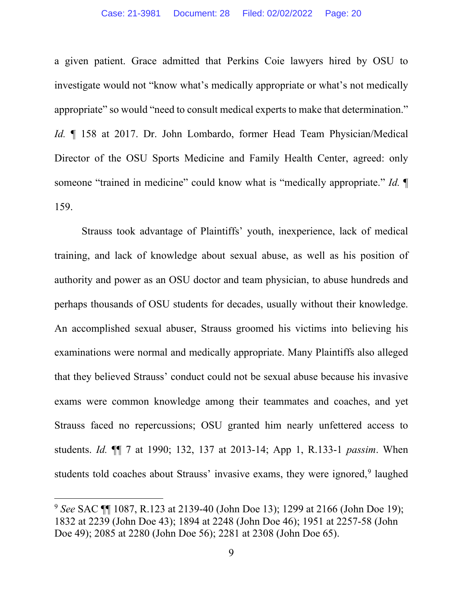a given patient. Grace admitted that Perkins Coie lawyers hired by OSU to investigate would not "know what's medically appropriate or what's not medically appropriate" so would "need to consult medical experts to make that determination." *Id.* ¶ 158 at 2017. Dr. John Lombardo, former Head Team Physician/Medical Director of the OSU Sports Medicine and Family Health Center, agreed: only someone "trained in medicine" could know what is "medically appropriate." *Id.* ¶ 159.

Strauss took advantage of Plaintiffs' youth, inexperience, lack of medical training, and lack of knowledge about sexual abuse, as well as his position of authority and power as an OSU doctor and team physician, to abuse hundreds and perhaps thousands of OSU students for decades, usually without their knowledge. An accomplished sexual abuser, Strauss groomed his victims into believing his examinations were normal and medically appropriate. Many Plaintiffs also alleged that they believed Strauss' conduct could not be sexual abuse because his invasive exams were common knowledge among their teammates and coaches, and yet Strauss faced no repercussions; OSU granted him nearly unfettered access to students. *Id.* ¶¶ 7 at 1990; 132, 137 at 2013-14; App 1, R.133-1 *passim*. When students told coaches about Strauss' invasive exams, they were ignored,<sup>[9](#page-19-0)</sup> laughed

<span id="page-19-0"></span><sup>9</sup> *See* SAC ¶¶ 1087, R.123 at 2139-40 (John Doe 13); 1299 at 2166 (John Doe 19); 1832 at 2239 (John Doe 43); 1894 at 2248 (John Doe 46); 1951 at 2257-58 (John Doe 49); 2085 at 2280 (John Doe 56); 2281 at 2308 (John Doe 65).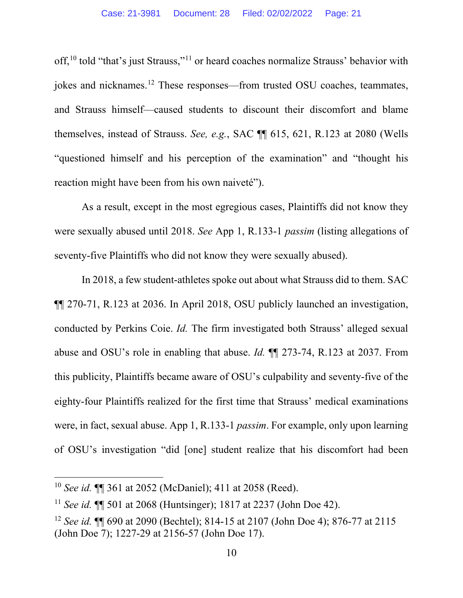off,<sup>[10](#page-20-0)</sup> told "that's just Strauss,"<sup>[11](#page-20-1)</sup> or heard coaches normalize Strauss' behavior with jokes and nicknames.[12](#page-20-2) These responses—from trusted OSU coaches, teammates, and Strauss himself—caused students to discount their discomfort and blame themselves, instead of Strauss. *See, e.g.*, SAC ¶¶ 615, 621, R.123 at 2080 (Wells "questioned himself and his perception of the examination" and "thought his reaction might have been from his own naiveté").

As a result, except in the most egregious cases, Plaintiffs did not know they were sexually abused until 2018. *See* App 1, R.133-1 *passim* (listing allegations of seventy-five Plaintiffs who did not know they were sexually abused).

In 2018, a few student-athletes spoke out about what Strauss did to them. SAC ¶¶ 270-71, R.123 at 2036. In April 2018, OSU publicly launched an investigation, conducted by Perkins Coie. *Id.* The firm investigated both Strauss' alleged sexual abuse and OSU's role in enabling that abuse. *Id.* ¶¶ 273-74, R.123 at 2037. From this publicity, Plaintiffs became aware of OSU's culpability and seventy-five of the eighty-four Plaintiffs realized for the first time that Strauss' medical examinations were, in fact, sexual abuse. App 1, R.133-1 *passim*. For example, only upon learning of OSU's investigation "did [one] student realize that his discomfort had been

<span id="page-20-0"></span><sup>10</sup> *See id.* ¶¶ 361 at 2052 (McDaniel); 411 at 2058 (Reed).

<span id="page-20-1"></span><sup>11</sup> *See id.* ¶¶ 501 at 2068 (Huntsinger); 1817 at 2237 (John Doe 42).

<span id="page-20-2"></span><sup>12</sup> *See id.* ¶¶ 690 at 2090 (Bechtel); 814-15 at 2107 (John Doe 4); 876-77 at 2115 (John Doe 7); 1227-29 at 2156-57 (John Doe 17).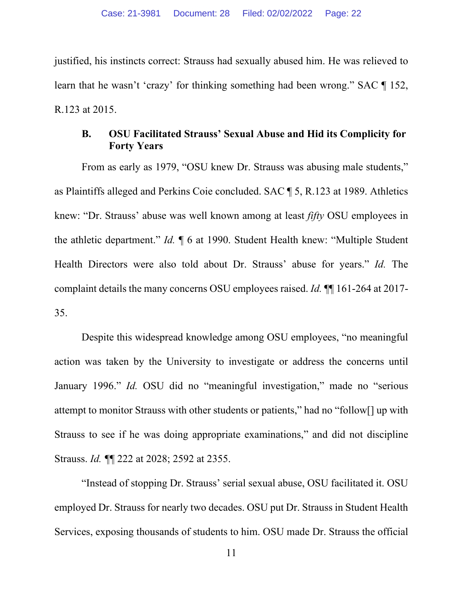justified, his instincts correct: Strauss had sexually abused him. He was relieved to learn that he wasn't 'crazy' for thinking something had been wrong." SAC ¶ 152, R.123 at 2015.

## **B. OSU Facilitated Strauss' Sexual Abuse and Hid its Complicity for Forty Years**

From as early as 1979, "OSU knew Dr. Strauss was abusing male students," as Plaintiffs alleged and Perkins Coie concluded. SAC ¶ 5, R.123 at 1989. Athletics knew: "Dr. Strauss' abuse was well known among at least *fifty* OSU employees in the athletic department." *Id.* ¶ 6 at 1990. Student Health knew: "Multiple Student Health Directors were also told about Dr. Strauss' abuse for years." *Id.* The complaint details the many concerns OSU employees raised. *Id.* ¶¶ 161-264 at 2017- 35.

Despite this widespread knowledge among OSU employees, "no meaningful action was taken by the University to investigate or address the concerns until January 1996." *Id.* OSU did no "meaningful investigation," made no "serious attempt to monitor Strauss with other students or patients," had no "follow[] up with Strauss to see if he was doing appropriate examinations," and did not discipline Strauss. *Id. ¶*¶ 222 at 2028; 2592 at 2355.

"Instead of stopping Dr. Strauss' serial sexual abuse, OSU facilitated it. OSU employed Dr. Strauss for nearly two decades. OSU put Dr. Strauss in Student Health Services, exposing thousands of students to him. OSU made Dr. Strauss the official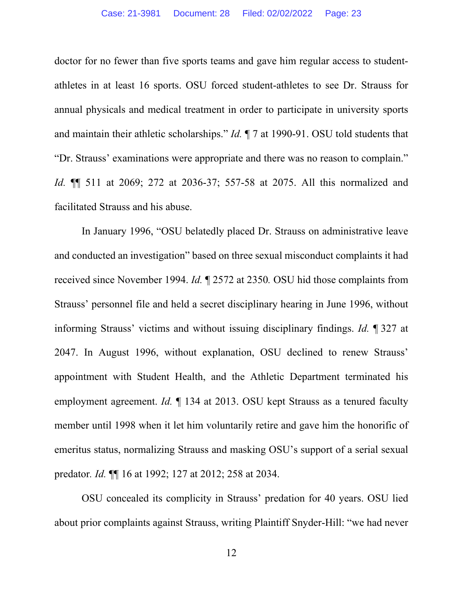doctor for no fewer than five sports teams and gave him regular access to studentathletes in at least 16 sports. OSU forced student-athletes to see Dr. Strauss for annual physicals and medical treatment in order to participate in university sports and maintain their athletic scholarships." *Id.* ¶ 7 at 1990-91. OSU told students that "Dr. Strauss' examinations were appropriate and there was no reason to complain." *Id.* ¶¶ 511 at 2069; 272 at 2036-37; 557-58 at 2075. All this normalized and facilitated Strauss and his abuse.

In January 1996, "OSU belatedly placed Dr. Strauss on administrative leave and conducted an investigation" based on three sexual misconduct complaints it had received since November 1994. *Id.* ¶ 2572 at 2350*.* OSU hid those complaints from Strauss' personnel file and held a secret disciplinary hearing in June 1996, without informing Strauss' victims and without issuing disciplinary findings. *Id.* ¶ 327 at 2047. In August 1996, without explanation, OSU declined to renew Strauss' appointment with Student Health, and the Athletic Department terminated his employment agreement. *Id.* ¶ 134 at 2013. OSU kept Strauss as a tenured faculty member until 1998 when it let him voluntarily retire and gave him the honorific of emeritus status, normalizing Strauss and masking OSU's support of a serial sexual predator*. Id.* ¶¶ 16 at 1992; 127 at 2012; 258 at 2034.

OSU concealed its complicity in Strauss' predation for 40 years. OSU lied about prior complaints against Strauss, writing Plaintiff Snyder-Hill: "we had never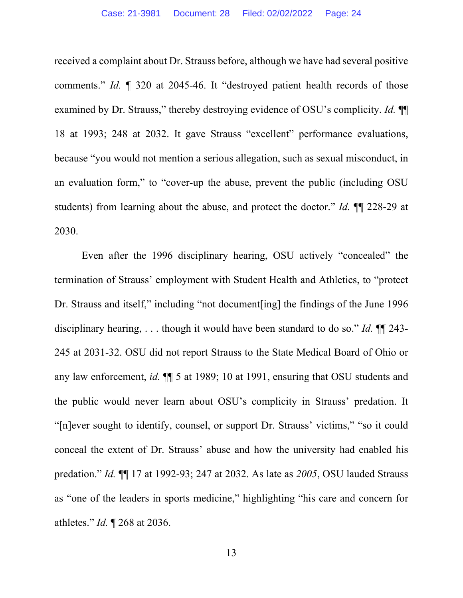received a complaint about Dr. Strauss before, although we have had several positive comments." *Id.* ¶ 320 at 2045-46. It "destroyed patient health records of those examined by Dr. Strauss," thereby destroying evidence of OSU's complicity. *Id.* ¶¶ 18 at 1993; 248 at 2032. It gave Strauss "excellent" performance evaluations, because "you would not mention a serious allegation, such as sexual misconduct, in an evaluation form," to "cover-up the abuse, prevent the public (including OSU students) from learning about the abuse, and protect the doctor." *Id.* ¶¶ 228-29 at 2030.

Even after the 1996 disciplinary hearing, OSU actively "concealed" the termination of Strauss' employment with Student Health and Athletics, to "protect Dr. Strauss and itself," including "not document[ing] the findings of the June 1996 disciplinary hearing, . . . though it would have been standard to do so." *Id.* ¶¶ 243- 245 at 2031-32. OSU did not report Strauss to the State Medical Board of Ohio or any law enforcement, *id.* ¶¶ 5 at 1989; 10 at 1991, ensuring that OSU students and the public would never learn about OSU's complicity in Strauss' predation. It "[n]ever sought to identify, counsel, or support Dr. Strauss' victims," "so it could conceal the extent of Dr. Strauss' abuse and how the university had enabled his predation." *Id.* ¶¶ 17 at 1992-93; 247 at 2032. As late as *2005*, OSU lauded Strauss as "one of the leaders in sports medicine," highlighting "his care and concern for athletes." *Id.* ¶ 268 at 2036.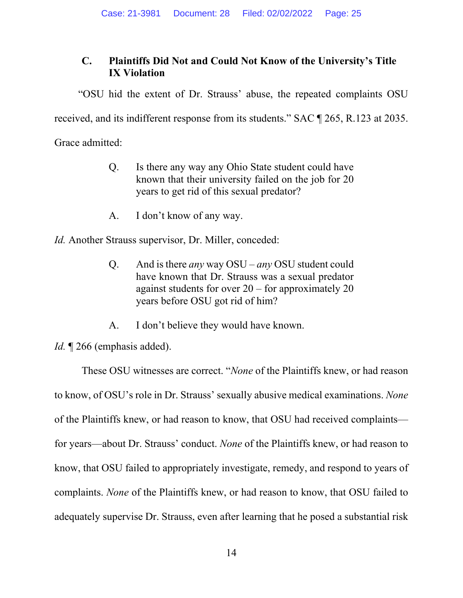# **C. Plaintiffs Did Not and Could Not Know of the University's Title IX Violation**

"OSU hid the extent of Dr. Strauss' abuse, the repeated complaints OSU

received, and its indifferent response from its students." SAC ¶ 265, R.123 at 2035.

Grace admitted:

- Q. Is there any way any Ohio State student could have known that their university failed on the job for 20 years to get rid of this sexual predator?
- A. I don't know of any way.

*Id.* Another Strauss supervisor, Dr. Miller, conceded:

- Q. And is there *any* way OSU *any* OSU student could have known that Dr. Strauss was a sexual predator against students for over 20 – for approximately 20 years before OSU got rid of him?
- A. I don't believe they would have known.

*Id.* 1266 (emphasis added).

These OSU witnesses are correct. "*None* of the Plaintiffs knew, or had reason to know, of OSU's role in Dr. Strauss' sexually abusive medical examinations. *None* of the Plaintiffs knew, or had reason to know, that OSU had received complaints for years—about Dr. Strauss' conduct. *None* of the Plaintiffs knew, or had reason to know, that OSU failed to appropriately investigate, remedy, and respond to years of complaints. *None* of the Plaintiffs knew, or had reason to know, that OSU failed to adequately supervise Dr. Strauss, even after learning that he posed a substantial risk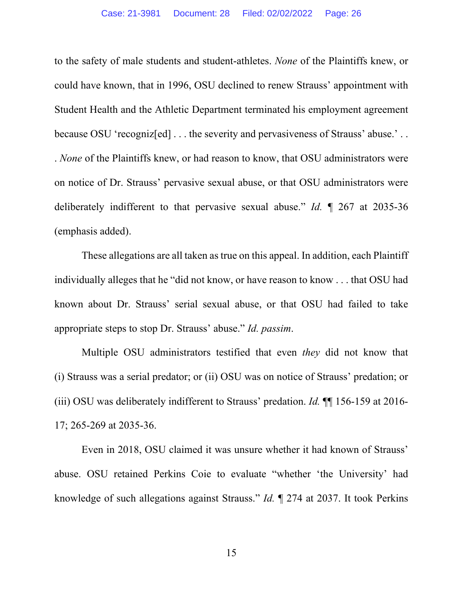to the safety of male students and student-athletes. *None* of the Plaintiffs knew, or could have known, that in 1996, OSU declined to renew Strauss' appointment with Student Health and the Athletic Department terminated his employment agreement because OSU 'recogniz[ed] ... the severity and pervasiveness of Strauss' abuse.'.. . *None* of the Plaintiffs knew, or had reason to know, that OSU administrators were on notice of Dr. Strauss' pervasive sexual abuse, or that OSU administrators were deliberately indifferent to that pervasive sexual abuse." *Id.* ¶ 267 at 2035-36 (emphasis added).

These allegations are all taken as true on this appeal. In addition, each Plaintiff individually alleges that he "did not know, or have reason to know . . . that OSU had known about Dr. Strauss' serial sexual abuse, or that OSU had failed to take appropriate steps to stop Dr. Strauss' abuse." *Id. passim*.

Multiple OSU administrators testified that even *they* did not know that (i) Strauss was a serial predator; or (ii) OSU was on notice of Strauss' predation; or (iii) OSU was deliberately indifferent to Strauss' predation. *Id.* ¶¶ 156-159 at 2016- 17; 265-269 at 2035-36.

Even in 2018, OSU claimed it was unsure whether it had known of Strauss' abuse. OSU retained Perkins Coie to evaluate "whether 'the University' had knowledge of such allegations against Strauss." *Id.* ¶ 274 at 2037. It took Perkins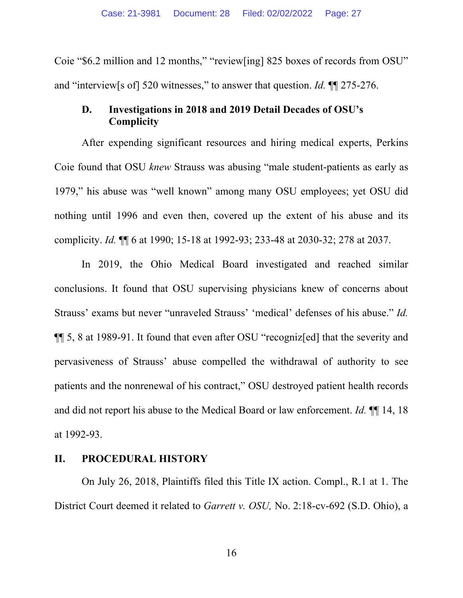Coie "\$6.2 million and 12 months," "review[ing] 825 boxes of records from OSU" and "interview[s of] 520 witnesses," to answer that question. *Id.* ¶¶ 275-276.

### **D. Investigations in 2018 and 2019 Detail Decades of OSU's Complicity**

After expending significant resources and hiring medical experts, Perkins Coie found that OSU *knew* Strauss was abusing "male student-patients as early as 1979," his abuse was "well known" among many OSU employees; yet OSU did nothing until 1996 and even then, covered up the extent of his abuse and its complicity. *Id.* ¶¶ 6 at 1990; 15-18 at 1992-93; 233-48 at 2030-32; 278 at 2037.

In 2019, the Ohio Medical Board investigated and reached similar conclusions. It found that OSU supervising physicians knew of concerns about Strauss' exams but never "unraveled Strauss' 'medical' defenses of his abuse." *Id.*  ¶¶ 5, 8 at 1989-91. It found that even after OSU "recogniz[ed] that the severity and pervasiveness of Strauss' abuse compelled the withdrawal of authority to see patients and the nonrenewal of his contract," OSU destroyed patient health records and did not report his abuse to the Medical Board or law enforcement. *Id.* ¶¶ 14, 18 at 1992-93.

## **II. PROCEDURAL HISTORY**

On July 26, 2018, Plaintiffs filed this Title IX action. Compl., R.1 at 1. The District Court deemed it related to *Garrett v. OSU,* No. 2:18-cv-692 (S.D. Ohio), a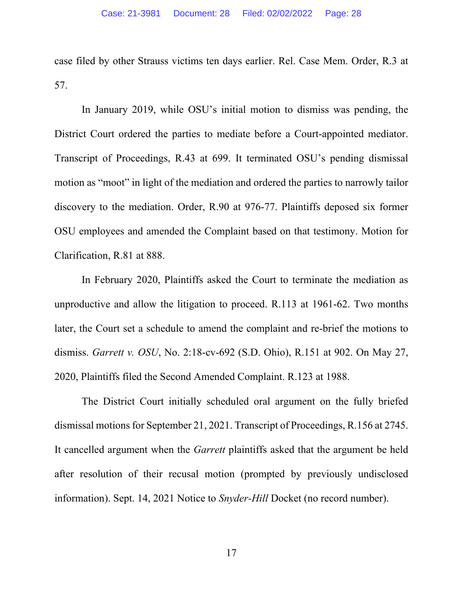case filed by other Strauss victims ten days earlier. Rel. Case Mem. Order, R.3 at 57.

In January 2019, while OSU's initial motion to dismiss was pending, the District Court ordered the parties to mediate before a Court-appointed mediator. Transcript of Proceedings, R.43 at 699. It terminated OSU's pending dismissal motion as "moot" in light of the mediation and ordered the parties to narrowly tailor discovery to the mediation. Order, R.90 at 976-77. Plaintiffs deposed six former OSU employees and amended the Complaint based on that testimony. Motion for Clarification, R.81 at 888.

In February 2020, Plaintiffs asked the Court to terminate the mediation as unproductive and allow the litigation to proceed. R.113 at 1961-62. Two months later, the Court set a schedule to amend the complaint and re-brief the motions to dismiss. *Garrett v. OSU*, No. 2:18-cv-692 (S.D. Ohio), R.151 at 902. On May 27, 2020, Plaintiffs filed the Second Amended Complaint. R.123 at 1988.

The District Court initially scheduled oral argument on the fully briefed dismissal motions for September 21, 2021. Transcript of Proceedings, R.156 at 2745. It cancelled argument when the *Garrett* plaintiffs asked that the argument be held after resolution of their recusal motion (prompted by previously undisclosed information). Sept. 14, 2021 Notice to *Snyder-Hill* Docket (no record number).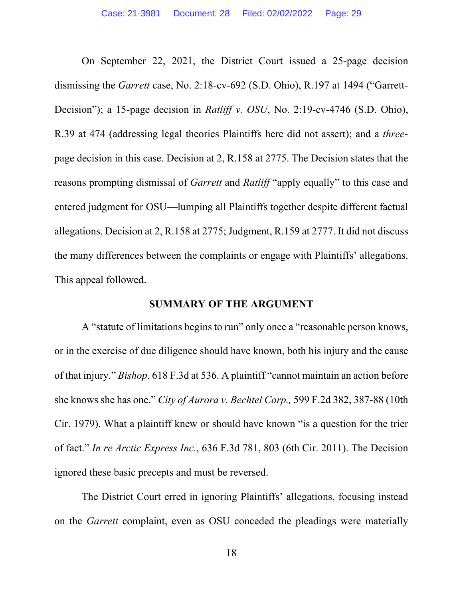On September 22, 2021, the District Court issued a 25-page decision dismissing the *Garrett* case, No. 2:18-cv-692 (S.D. Ohio), R.197 at 1494 ("Garrett-Decision"); a 15-page decision in *Ratliff v. OSU*, No. 2:19-cv-4746 (S.D. Ohio), R.39 at 474 (addressing legal theories Plaintiffs here did not assert); and a *three*page decision in this case. Decision at 2, R.158 at 2775. The Decision states that the reasons prompting dismissal of *Garrett* and *Ratliff* "apply equally" to this case and entered judgment for OSU—lumping all Plaintiffs together despite different factual allegations. Decision at 2, R.158 at 2775; Judgment, R.159 at 2777. It did not discuss the many differences between the complaints or engage with Plaintiffs' allegations. This appeal followed.

#### **SUMMARY OF THE ARGUMENT**

A "statute of limitations begins to run" only once a "reasonable person knows, or in the exercise of due diligence should have known, both his injury and the cause of that injury." *Bishop*, 618 F.3d at 536. A plaintiff "cannot maintain an action before she knows she has one." *City of Aurora v. Bechtel Corp.,* 599 F.2d 382, 387-88 (10th Cir. 1979). What a plaintiff knew or should have known "is a question for the trier of fact." *In re Arctic Express Inc.*, 636 F.3d 781, 803 (6th Cir. 2011). The Decision ignored these basic precepts and must be reversed.

The District Court erred in ignoring Plaintiffs' allegations, focusing instead on the *Garrett* complaint, even as OSU conceded the pleadings were materially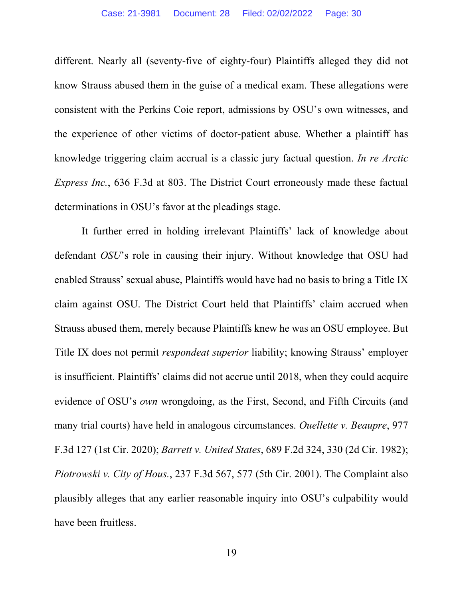different. Nearly all (seventy-five of eighty-four) Plaintiffs alleged they did not know Strauss abused them in the guise of a medical exam. These allegations were consistent with the Perkins Coie report, admissions by OSU's own witnesses, and the experience of other victims of doctor-patient abuse. Whether a plaintiff has knowledge triggering claim accrual is a classic jury factual question. *In re Arctic Express Inc.*, 636 F.3d at 803. The District Court erroneously made these factual determinations in OSU's favor at the pleadings stage.

It further erred in holding irrelevant Plaintiffs' lack of knowledge about defendant *OSU*'s role in causing their injury. Without knowledge that OSU had enabled Strauss' sexual abuse, Plaintiffs would have had no basis to bring a Title IX claim against OSU. The District Court held that Plaintiffs' claim accrued when Strauss abused them, merely because Plaintiffs knew he was an OSU employee. But Title IX does not permit *respondeat superior* liability; knowing Strauss' employer is insufficient. Plaintiffs' claims did not accrue until 2018, when they could acquire evidence of OSU's *own* wrongdoing, as the First, Second, and Fifth Circuits (and many trial courts) have held in analogous circumstances. *Ouellette v. Beaupre*, 977 F.3d 127 (1st Cir. 2020); *Barrett v. United States*, 689 F.2d 324, 330 (2d Cir. 1982); *Piotrowski v. City of Hous.*, 237 F.3d 567, 577 (5th Cir. 2001). The Complaint also plausibly alleges that any earlier reasonable inquiry into OSU's culpability would have been fruitless.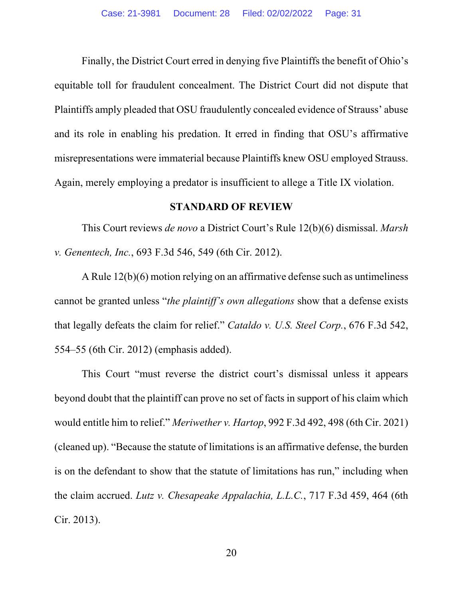Finally, the District Court erred in denying five Plaintiffs the benefit of Ohio's equitable toll for fraudulent concealment. The District Court did not dispute that Plaintiffs amply pleaded that OSU fraudulently concealed evidence of Strauss' abuse and its role in enabling his predation. It erred in finding that OSU's affirmative misrepresentations were immaterial because Plaintiffs knew OSU employed Strauss. Again, merely employing a predator is insufficient to allege a Title IX violation.

#### **STANDARD OF REVIEW**

This Court reviews *de novo* a District Court's Rule 12(b)(6) dismissal. *Marsh v. Genentech, Inc.*, 693 F.3d 546, 549 (6th Cir. 2012).

A Rule 12(b)(6) motion relying on an affirmative defense such as untimeliness cannot be granted unless "*the plaintiff's own allegations* show that a defense exists that legally defeats the claim for relief." *Cataldo v. U.S. Steel Corp.*, 676 F.3d 542, 554–55 (6th Cir. 2012) (emphasis added).

This Court "must reverse the district court's dismissal unless it appears beyond doubt that the plaintiff can prove no set of facts in support of his claim which would entitle him to relief." *Meriwether v. Hartop*, 992 F.3d 492, 498 (6th Cir. 2021) (cleaned up). "Because the statute of limitations is an affirmative defense, the burden is on the defendant to show that the statute of limitations has run," including when the claim accrued. *Lutz v. Chesapeake Appalachia, L.L.C.*, 717 F.3d 459, 464 (6th Cir. 2013).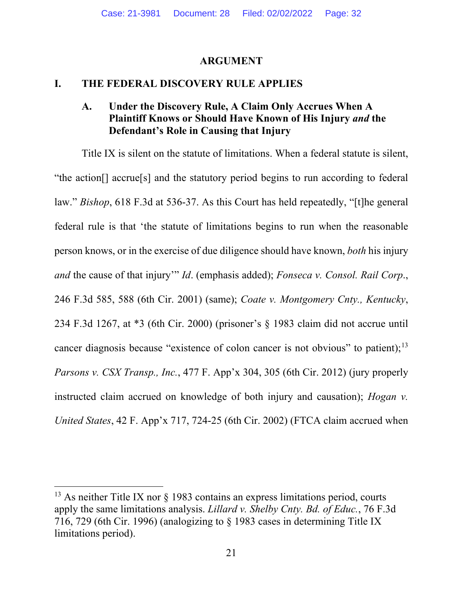#### **ARGUMENT**

#### **I. THE FEDERAL DISCOVERY RULE APPLIES**

### **A. Under the Discovery Rule, A Claim Only Accrues When A Plaintiff Knows or Should Have Known of His Injury** *and* **the Defendant's Role in Causing that Injury**

Title IX is silent on the statute of limitations. When a federal statute is silent, "the action[] accrue[s] and the statutory period begins to run according to federal law." *Bishop*, 618 F.3d at 536-37. As this Court has held repeatedly, "[t]he general federal rule is that 'the statute of limitations begins to run when the reasonable person knows, or in the exercise of due diligence should have known, *both* his injury *and* the cause of that injury'" *Id*. (emphasis added); *Fonseca v. Consol. Rail Corp*., 246 F.3d 585, 588 (6th Cir. 2001) (same); *Coate v. Montgomery Cnty., Kentucky*, 234 F.3d 1267, at \*3 (6th Cir. 2000) (prisoner's § 1983 claim did not accrue until cancer diagnosis because "existence of colon cancer is not obvious" to patient);<sup>[13](#page-32-0)</sup> *Parsons v. CSX Transp., Inc.*, 477 F. App'x 304, 305 (6th Cir. 2012) (jury properly instructed claim accrued on knowledge of both injury and causation); *Hogan v. United States*, 42 F. App'x 717, 724-25 (6th Cir. 2002) (FTCA claim accrued when

 $13$  As neither Title IX nor § 1983 contains an express limitations period, courts apply the same limitations analysis. *Lillard v. Shelby Cnty. Bd. of Educ.*, 76 F.3d 716, 729 (6th Cir. 1996) (analogizing to § 1983 cases in determining Title IX limitations period).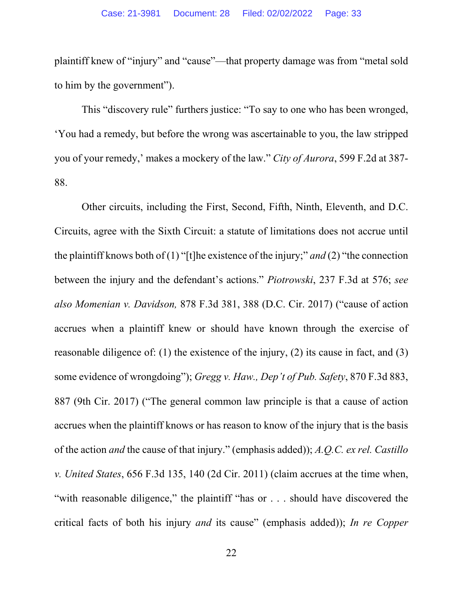plaintiff knew of "injury" and "cause"—that property damage was from "metal sold to him by the government").

This "discovery rule" furthers justice: "To say to one who has been wronged, 'You had a remedy, but before the wrong was ascertainable to you, the law stripped you of your remedy,' makes a mockery of the law." *City of Aurora*, 599 F.2d at 387- 88.

<span id="page-32-0"></span>Other circuits, including the First, Second, Fifth, Ninth, Eleventh, and D.C. Circuits, agree with the Sixth Circuit: a statute of limitations does not accrue until the plaintiff knows both of (1) "[t]he existence of the injury;" *and* (2) "the connection between the injury and the defendant's actions." *Piotrowski*, 237 F.3d at 576; *see also Momenian v. Davidson,* 878 F.3d 381, 388 (D.C. Cir. 2017) ("cause of action accrues when a plaintiff knew or should have known through the exercise of reasonable diligence of: (1) the existence of the injury, (2) its cause in fact, and (3) some evidence of wrongdoing"); *Gregg v. Haw., Dep't of Pub. Safety*, 870 F.3d 883, 887 (9th Cir. 2017) ("The general common law principle is that a cause of action accrues when the plaintiff knows or has reason to know of the injury that is the basis of the action *and* the cause of that injury." (emphasis added)); *A.Q.C. ex rel. Castillo v. United States*, 656 F.3d 135, 140 (2d Cir. 2011) (claim accrues at the time when, "with reasonable diligence," the plaintiff "has or . . . should have discovered the critical facts of both his injury *and* its cause" (emphasis added)); *In re Copper*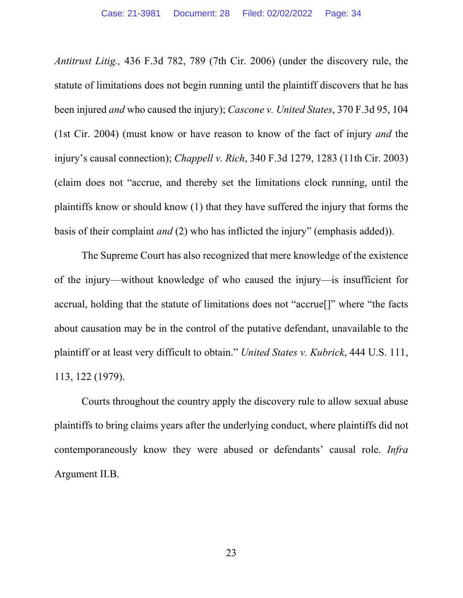*Antitrust Litig.,* 436 F.3d 782, 789 (7th Cir. 2006) (under the discovery rule, the statute of limitations does not begin running until the plaintiff discovers that he has been injured *and* who caused the injury); *Cascone v. United States*, 370 F.3d 95, 104 (1st Cir. 2004) (must know or have reason to know of the fact of injury *and* the injury's causal connection); *Chappell v. Rich*, 340 F.3d 1279, 1283 (11th Cir. 2003) (claim does not "accrue, and thereby set the limitations clock running, until the plaintiffs know or should know (1) that they have suffered the injury that forms the basis of their complaint *and* (2) who has inflicted the injury" (emphasis added)).

The Supreme Court has also recognized that mere knowledge of the existence of the injury—without knowledge of who caused the injury—is insufficient for accrual, holding that the statute of limitations does not "accrue[]" where "the facts about causation may be in the control of the putative defendant, unavailable to the plaintiff or at least very difficult to obtain." *United States v. Kubrick*, 444 U.S. 111, 113, 122 (1979).

Courts throughout the country apply the discovery rule to allow sexual abuse plaintiffs to bring claims years after the underlying conduct, where plaintiffs did not contemporaneously know they were abused or defendants' causal role. *Infra*  Argument II.B.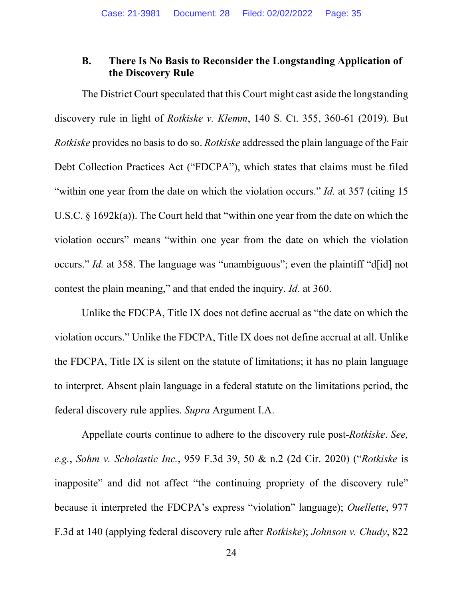### **B. There Is No Basis to Reconsider the Longstanding Application of the Discovery Rule**

The District Court speculated that this Court might cast aside the longstanding discovery rule in light of *Rotkiske v. Klemm*, 140 S. Ct. 355, 360-61 (2019). But *Rotkiske* provides no basis to do so. *Rotkiske* addressed the plain language of the Fair Debt Collection Practices Act ("FDCPA"), which states that claims must be filed "within one year from the date on which the violation occurs." *Id.* at 357 (citing 15 U.S.C. § 1692k(a)). The Court held that "within one year from the date on which the violation occurs" means "within one year from the date on which the violation occurs." *Id.* at 358. The language was "unambiguous"; even the plaintiff "d[id] not contest the plain meaning," and that ended the inquiry. *Id.* at 360.

Unlike the FDCPA, Title IX does not define accrual as "the date on which the violation occurs." Unlike the FDCPA, Title IX does not define accrual at all. Unlike the FDCPA, Title IX is silent on the statute of limitations; it has no plain language to interpret. Absent plain language in a federal statute on the limitations period, the federal discovery rule applies. *Supra* Argument I.A.

Appellate courts continue to adhere to the discovery rule post-*Rotkiske*. *See, e.g.*, *Sohm v. Scholastic Inc.*, 959 F.3d 39, 50 & n.2 (2d Cir. 2020) ("*Rotkiske* is inapposite" and did not affect "the continuing propriety of the discovery rule" because it interpreted the FDCPA's express "violation" language); *Ouellette*, 977 F.3d at 140 (applying federal discovery rule after *Rotkiske*); *Johnson v. Chudy*, 822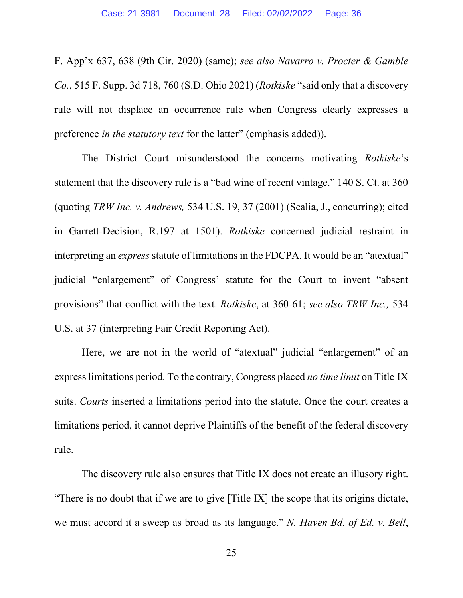F. App'x 637, 638 (9th Cir. 2020) (same); *see also Navarro v. Procter & Gamble Co.*, 515 F. Supp. 3d 718, 760 (S.D. Ohio 2021) (*Rotkiske* "said only that a discovery rule will not displace an occurrence rule when Congress clearly expresses a preference *in the statutory text* for the latter" (emphasis added)).

The District Court misunderstood the concerns motivating *Rotkiske*'s statement that the discovery rule is a "bad wine of recent vintage." 140 S. Ct. at 360 (quoting *TRW Inc. v. Andrews,* 534 U.S. 19, 37 (2001) (Scalia, J., concurring); cited in Garrett-Decision, R.197 at 1501). *Rotkiske* concerned judicial restraint in interpreting an *express* statute of limitations in the FDCPA. It would be an "atextual" judicial "enlargement" of Congress' statute for the Court to invent "absent provisions" that conflict with the text. *Rotkiske*, at 360-61; *see also TRW Inc.,* 534 U.S. at 37 (interpreting Fair Credit Reporting Act).

Here, we are not in the world of "atextual" judicial "enlargement" of an express limitations period. To the contrary, Congress placed *no time limit* on Title IX suits. *Courts* inserted a limitations period into the statute. Once the court creates a limitations period, it cannot deprive Plaintiffs of the benefit of the federal discovery rule.

The discovery rule also ensures that Title IX does not create an illusory right. "There is no doubt that if we are to give [Title IX] the scope that its origins dictate, we must accord it a sweep as broad as its language." *N. Haven Bd. of Ed. v. Bell*,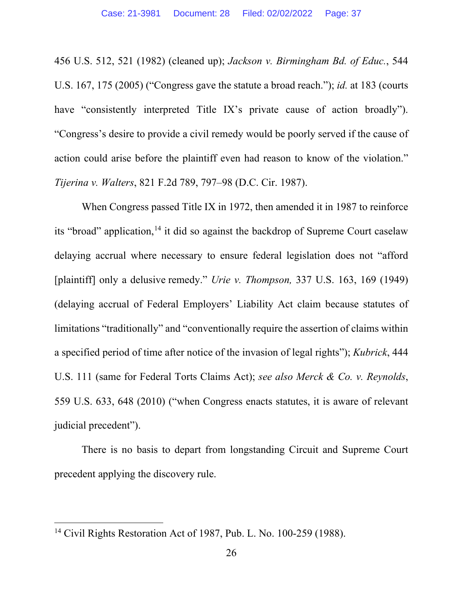456 U.S. 512, 521 (1982) (cleaned up); *Jackson v. Birmingham Bd. of Educ.*, 544 U.S. 167, 175 (2005) ("Congress gave the statute a broad reach."); *id.* at 183 (courts have "consistently interpreted Title IX's private cause of action broadly"). "Congress's desire to provide a civil remedy would be poorly served if the cause of action could arise before the plaintiff even had reason to know of the violation." *Tijerina v. Walters*, 821 F.2d 789, 797–98 (D.C. Cir. 1987).

When Congress passed Title IX in 1972, then amended it in 1987 to reinforce its "broad" application,  $14$  it did so against the backdrop of Supreme Court caselaw delaying accrual where necessary to ensure federal legislation does not "afford [plaintiff] only a delusive remedy." *Urie v. Thompson,* 337 U.S. 163, 169 (1949) (delaying accrual of Federal Employers' Liability Act claim because statutes of limitations "traditionally" and "conventionally require the assertion of claims within a specified period of time after notice of the invasion of legal rights"); *Kubrick*, 444 U.S. 111 (same for Federal Torts Claims Act); *see also Merck & Co. v. Reynolds*, 559 U.S. 633, 648 (2010) ("when Congress enacts statutes, it is aware of relevant judicial precedent").

There is no basis to depart from longstanding Circuit and Supreme Court precedent applying the discovery rule.

<sup>14</sup> Civil Rights Restoration Act of 1987, Pub. L. No. 100-259 (1988).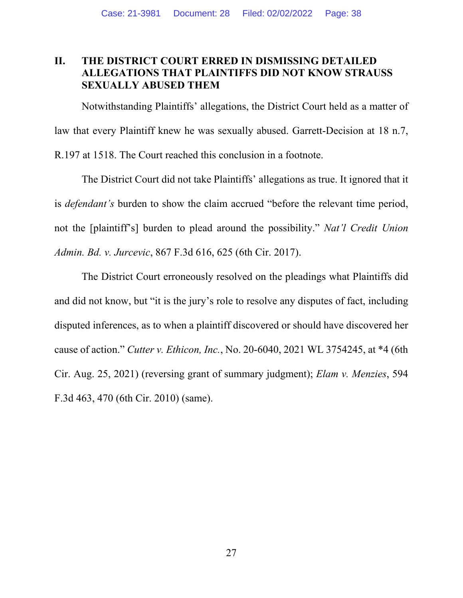# **II. THE DISTRICT COURT ERRED IN DISMISSING DETAILED ALLEGATIONS THAT PLAINTIFFS DID NOT KNOW STRAUSS SEXUALLY ABUSED THEM**

Notwithstanding Plaintiffs' allegations, the District Court held as a matter of law that every Plaintiff knew he was sexually abused. Garrett-Decision at 18 n.7, R.197 at 1518. The Court reached this conclusion in a footnote.

The District Court did not take Plaintiffs' allegations as true. It ignored that it is *defendant's* burden to show the claim accrued "before the relevant time period, not the [plaintiff's] burden to plead around the possibility." *Nat'l Credit Union Admin. Bd. v. Jurcevic*, 867 F.3d 616, 625 (6th Cir. 2017).

The District Court erroneously resolved on the pleadings what Plaintiffs did and did not know, but "it is the jury's role to resolve any disputes of fact, including disputed inferences, as to when a plaintiff discovered or should have discovered her cause of action." *Cutter v. Ethicon, Inc.*, No. 20-6040, 2021 WL 3754245, at \*4 (6th Cir. Aug. 25, 2021) (reversing grant of summary judgment); *Elam v. Menzies*, 594 F.3d 463, 470 (6th Cir. 2010) (same).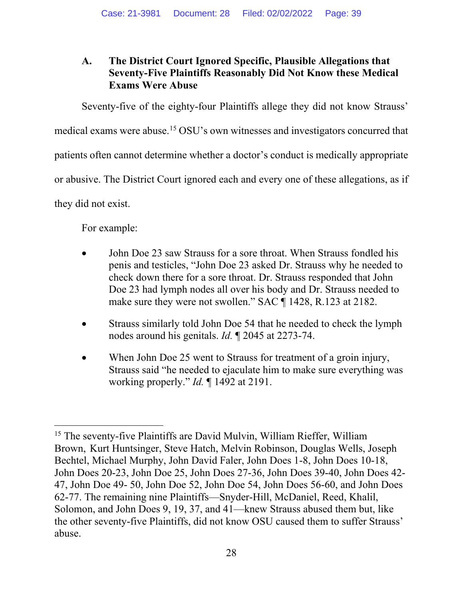# **A. The District Court Ignored Specific, Plausible Allegations that Seventy-Five Plaintiffs Reasonably Did Not Know these Medical Exams Were Abuse**

Seventy-five of the eighty-four Plaintiffs allege they did not know Strauss'

medical exams were abuse. [15](#page-41-0) OSU's own witnesses and investigators concurred that

patients often cannot determine whether a doctor's conduct is medically appropriate

or abusive. The District Court ignored each and every one of these allegations, as if

they did not exist.

For example:

- John Doe 23 saw Strauss for a sore throat. When Strauss fondled his penis and testicles, "John Doe 23 asked Dr. Strauss why he needed to check down there for a sore throat. Dr. Strauss responded that John Doe 23 had lymph nodes all over his body and Dr. Strauss needed to make sure they were not swollen." SAC ¶ 1428, R.123 at 2182.
- Strauss similarly told John Doe 54 that he needed to check the lymph nodes around his genitals. *Id.* ¶ 2045 at 2273-74.
- When John Doe 25 went to Strauss for treatment of a groin injury, Strauss said "he needed to ejaculate him to make sure everything was working properly." *Id.* ¶ 1492 at 2191.

<sup>&</sup>lt;sup>15</sup> The seventy-five Plaintiffs are David Mulvin, William Rieffer, William Brown, Kurt Huntsinger, Steve Hatch, Melvin Robinson, Douglas Wells, Joseph Bechtel, Michael Murphy, John David Faler, John Does 1-8, John Does 10-18, John Does 20-23, John Doe 25, John Does 27-36, John Does 39-40, John Does 42- 47, John Doe 49- 50, John Doe 52, John Doe 54, John Does 56-60, and John Does 62-77. The remaining nine Plaintiffs—Snyder-Hill, McDaniel, Reed, Khalil, Solomon, and John Does 9, 19, 37, and 41—knew Strauss abused them but, like the other seventy-five Plaintiffs, did not know OSU caused them to suffer Strauss' abuse.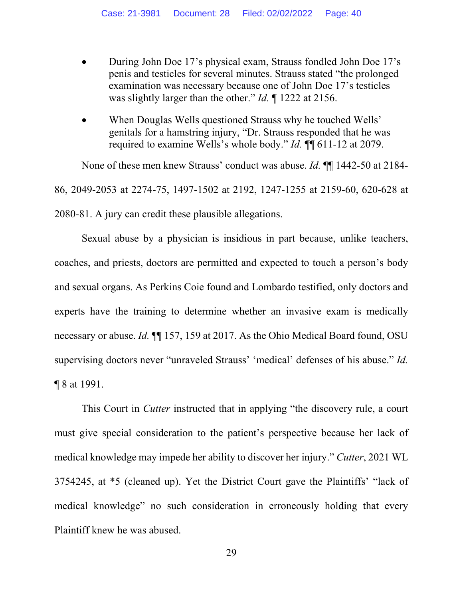- During John Doe 17's physical exam, Strauss fondled John Doe 17's penis and testicles for several minutes. Strauss stated "the prolonged examination was necessary because one of John Doe 17's testicles was slightly larger than the other." *Id.* ¶ 1222 at 2156.
- When Douglas Wells questioned Strauss why he touched Wells' genitals for a hamstring injury, "Dr. Strauss responded that he was required to examine Wells's whole body." *Id.* ¶¶ 611-12 at 2079.

None of these men knew Strauss' conduct was abuse. *Id.* ¶¶ 1442-50 at 2184- 86, 2049-2053 at 2274-75, 1497-1502 at 2192, 1247-1255 at 2159-60, 620-628 at 2080-81. A jury can credit these plausible allegations.

Sexual abuse by a physician is insidious in part because, unlike teachers, coaches, and priests, doctors are permitted and expected to touch a person's body and sexual organs. As Perkins Coie found and Lombardo testified, only doctors and experts have the training to determine whether an invasive exam is medically necessary or abuse. *Id.* ¶¶ 157, 159 at 2017. As the Ohio Medical Board found, OSU supervising doctors never "unraveled Strauss' 'medical' defenses of his abuse." *Id.*  ¶ 8 at 1991.

<span id="page-39-0"></span>This Court in *Cutter* instructed that in applying "the discovery rule, a court must give special consideration to the patient's perspective because her lack of medical knowledge may impede her ability to discover her injury." *Cutter*, 2021 WL 3754245, at \*5 (cleaned up). Yet the District Court gave the Plaintiffs' "lack of medical knowledge" no such consideration in erroneously holding that every Plaintiff knew he was abused.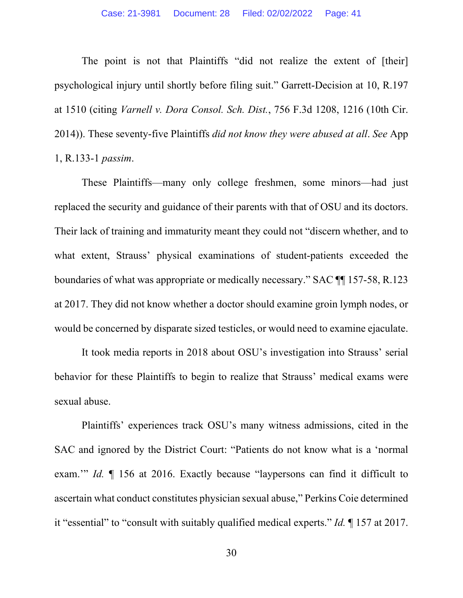The point is not that Plaintiffs "did not realize the extent of [their] psychological injury until shortly before filing suit." Garrett-Decision at 10, R.197 at 1510 (citing *Varnell v. Dora Consol. Sch. Dist.*, 756 F.3d 1208, 1216 (10th Cir. 2014)). These seventy-five Plaintiffs *did not know they were abused at all*. *See* App 1, R.133-1 *passim*.

These Plaintiffs—many only college freshmen, some minors—had just replaced the security and guidance of their parents with that of OSU and its doctors. Their lack of training and immaturity meant they could not "discern whether, and to what extent, Strauss' physical examinations of student-patients exceeded the boundaries of what was appropriate or medically necessary." SAC ¶¶ 157-58, R.123 at 2017. They did not know whether a doctor should examine groin lymph nodes, or would be concerned by disparate sized testicles, or would need to examine ejaculate.

It took media reports in 2018 about OSU's investigation into Strauss' serial behavior for these Plaintiffs to begin to realize that Strauss' medical exams were sexual abuse.

Plaintiffs' experiences track OSU's many witness admissions, cited in the SAC and ignored by the District Court: "Patients do not know what is a 'normal exam.'" *Id.* ¶ 156 at 2016. Exactly because "laypersons can find it difficult to ascertain what conduct constitutes physician sexual abuse," Perkins Coie determined it "essential" to "consult with suitably qualified medical experts." *Id.* ¶ 157 at 2017.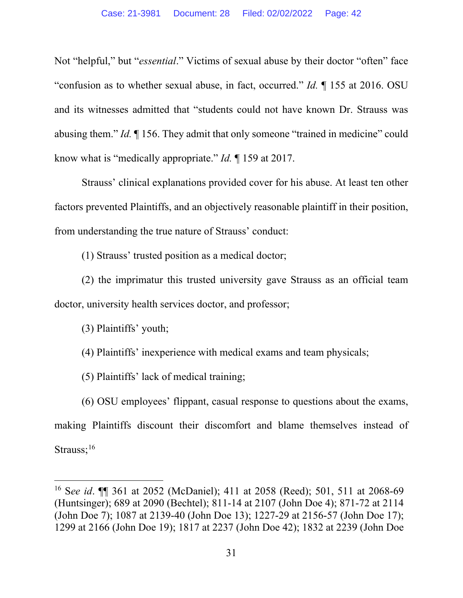Not "helpful," but "*essential*." Victims of sexual abuse by their doctor "often" face "confusion as to whether sexual abuse, in fact, occurred." *Id.* ¶ 155 at 2016. OSU and its witnesses admitted that "students could not have known Dr. Strauss was abusing them." *Id.* ¶ 156. They admit that only someone "trained in medicine" could know what is "medically appropriate." *Id.* ¶ 159 at 2017.

Strauss' clinical explanations provided cover for his abuse. At least ten other factors prevented Plaintiffs, and an objectively reasonable plaintiff in their position, from understanding the true nature of Strauss' conduct:

(1) Strauss' trusted position as a medical doctor;

(2) the imprimatur this trusted university gave Strauss as an official team doctor, university health services doctor, and professor;

(3) Plaintiffs' youth;

(4) Plaintiffs' inexperience with medical exams and team physicals;

(5) Plaintiffs' lack of medical training;

<span id="page-41-0"></span>(6) OSU employees' flippant, casual response to questions about the exams, making Plaintiffs discount their discomfort and blame themselves instead of Strauss;<sup>16</sup>

<sup>16</sup> S*ee id*. ¶¶ 361 at 2052 (McDaniel); 411 at 2058 (Reed); 501, 511 at 2068-69 (Huntsinger); 689 at 2090 (Bechtel); 811-14 at 2107 (John Doe 4); 871-72 at 2114 (John Doe 7); 1087 at 2139-40 (John Doe 13); 1227-29 at 2156-57 (John Doe 17); 1299 at 2166 (John Doe 19); 1817 at 2237 (John Doe 42); 1832 at 2239 (John Doe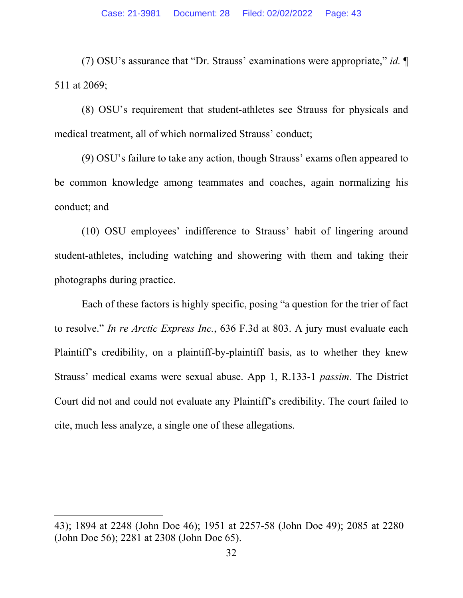(7) OSU's assurance that "Dr. Strauss' examinations were appropriate," *id.* ¶ 511 at 2069;

(8) OSU's requirement that student-athletes see Strauss for physicals and medical treatment, all of which normalized Strauss' conduct;

(9) OSU's failure to take any action, though Strauss' exams often appeared to be common knowledge among teammates and coaches, again normalizing his conduct; and

(10) OSU employees' indifference to Strauss' habit of lingering around student-athletes, including watching and showering with them and taking their photographs during practice.

Each of these factors is highly specific, posing "a question for the trier of fact to resolve." *In re Arctic Express Inc.*, 636 F.3d at 803. A jury must evaluate each Plaintiff's credibility, on a plaintiff-by-plaintiff basis, as to whether they knew Strauss' medical exams were sexual abuse. App 1, R.133-1 *passim*. The District Court did not and could not evaluate any Plaintiff's credibility. The court failed to cite, much less analyze, a single one of these allegations.

<sup>43); 1894</sup> at 2248 (John Doe 46); 1951 at 2257-58 (John Doe 49); 2085 at 2280 (John Doe 56); 2281 at 2308 (John Doe 65).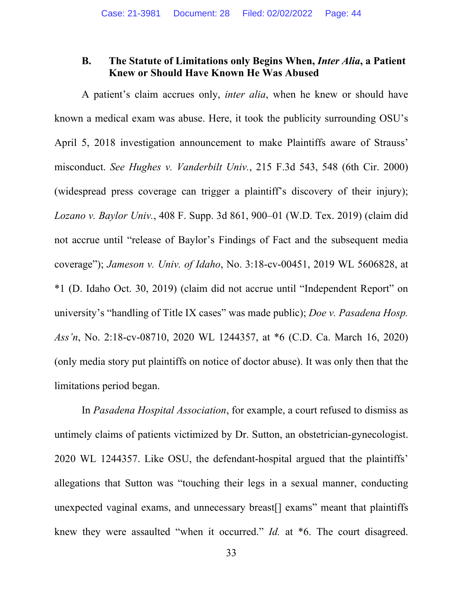### **B. The Statute of Limitations only Begins When,** *Inter Alia***, a Patient Knew or Should Have Known He Was Abused**

A patient's claim accrues only, *inter alia*, when he knew or should have known a medical exam was abuse. Here, it took the publicity surrounding OSU's April 5, 2018 investigation announcement to make Plaintiffs aware of Strauss' misconduct. *See Hughes v. Vanderbilt Univ.*, 215 F.3d 543, 548 (6th Cir. 2000) (widespread press coverage can trigger a plaintiff's discovery of their injury); *Lozano v. Baylor Univ.*, 408 F. Supp. 3d 861, 900–01 (W.D. Tex. 2019) (claim did not accrue until "release of Baylor's Findings of Fact and the subsequent media coverage"); *Jameson v. Univ. of Idaho*, No. 3:18-cv-00451, 2019 WL 5606828, at \*1 (D. Idaho Oct. 30, 2019) (claim did not accrue until "Independent Report" on university's "handling of Title IX cases" was made public); *Doe v. Pasadena Hosp. Ass'n*, No. 2:18-cv-08710, 2020 WL 1244357, at \*6 (C.D. Ca. March 16, 2020) (only media story put plaintiffs on notice of doctor abuse). It was only then that the limitations period began.

In *Pasadena Hospital Association*, for example, a court refused to dismiss as untimely claims of patients victimized by Dr. Sutton, an obstetrician-gynecologist. 2020 WL 1244357. Like OSU, the defendant-hospital argued that the plaintiffs' allegations that Sutton was "touching their legs in a sexual manner, conducting unexpected vaginal exams, and unnecessary breast[] exams" meant that plaintiffs knew they were assaulted "when it occurred." *Id.* at \*6. The court disagreed.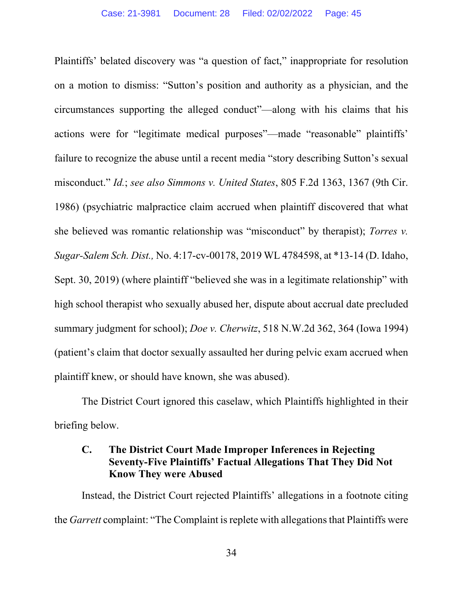Plaintiffs' belated discovery was "a question of fact," inappropriate for resolution on a motion to dismiss: "Sutton's position and authority as a physician, and the circumstances supporting the alleged conduct"—along with his claims that his actions were for "legitimate medical purposes"—made "reasonable" plaintiffs' failure to recognize the abuse until a recent media "story describing Sutton's sexual misconduct." *Id.*; *see also Simmons v. United States*, 805 F.2d 1363, 1367 (9th Cir. 1986) (psychiatric malpractice claim accrued when plaintiff discovered that what she believed was romantic relationship was "misconduct" by therapist); *Torres v. Sugar-Salem Sch. Dist.,* No. 4:17-cv-00178, 2019 WL 4784598, at \*13-14 (D. Idaho, Sept. 30, 2019) (where plaintiff "believed she was in a legitimate relationship" with high school therapist who sexually abused her, dispute about accrual date precluded summary judgment for school); *Doe v. Cherwitz*, 518 N.W.2d 362, 364 (Iowa 1994) (patient's claim that doctor sexually assaulted her during pelvic exam accrued when plaintiff knew, or should have known, she was abused).

The District Court ignored this caselaw, which Plaintiffs highlighted in their briefing below.

# **C. The District Court Made Improper Inferences in Rejecting Seventy-Five Plaintiffs' Factual Allegations That They Did Not Know They were Abused**

<span id="page-44-0"></span>Instead, the District Court rejected Plaintiffs' allegations in a footnote citing the *Garrett* complaint: "The Complaint is replete with allegations that Plaintiffs were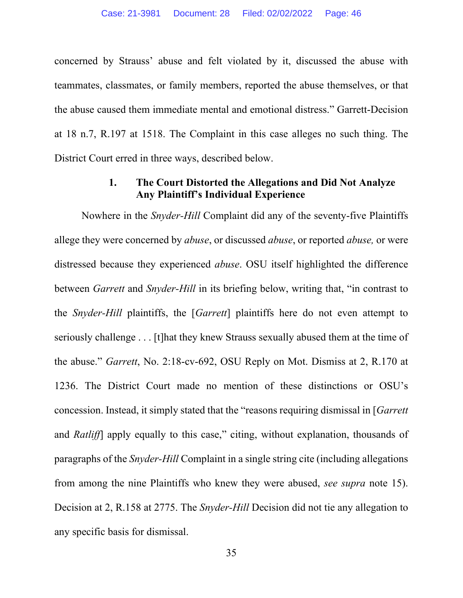concerned by Strauss' abuse and felt violated by it, discussed the abuse with teammates, classmates, or family members, reported the abuse themselves, or that the abuse caused them immediate mental and emotional distress." Garrett-Decision at 18 n.7, R.197 at 1518. The Complaint in this case alleges no such thing. The District Court erred in three ways, described below.

#### **1. The Court Distorted the Allegations and Did Not Analyze Any Plaintiff's Individual Experience**

Nowhere in the *Snyder-Hill* Complaint did any of the seventy-five Plaintiffs allege they were concerned by *abuse*, or discussed *abuse*, or reported *abuse,* or were distressed because they experienced *abuse*. OSU itself highlighted the difference between *Garrett* and *Snyder-Hill* in its briefing below, writing that, "in contrast to the *Snyder-Hill* plaintiffs, the [*Garrett*] plaintiffs here do not even attempt to seriously challenge . . . [t]hat they knew Strauss sexually abused them at the time of the abuse." *Garrett*, No. 2:18-cv-692, OSU Reply on Mot. Dismiss at 2, R.170 at 1236. The District Court made no mention of these distinctions or OSU's concession. Instead, it simply stated that the "reasons requiring dismissal in [*Garrett*  and *Ratliff*] apply equally to this case," citing, without explanation, thousands of paragraphs of the *Snyder-Hill* Complaint in a single string cite (including allegations from among the nine Plaintiffs who knew they were abused, *see supra* note 15). Decision at 2, R.158 at 2775. The *Snyder-Hill* Decision did not tie any allegation to any specific basis for dismissal.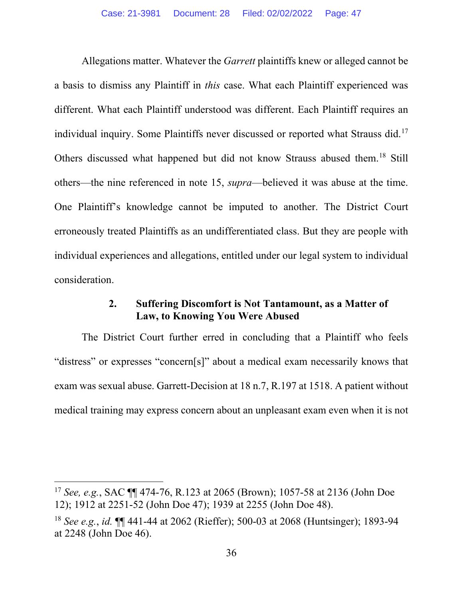Allegations matter. Whatever the *Garrett* plaintiffs knew or alleged cannot be a basis to dismiss any Plaintiff in *this* case. What each Plaintiff experienced was different. What each Plaintiff understood was different. Each Plaintiff requires an individual inquiry. Some Plaintiffs never discussed or reported what Strauss did.<sup>[17](#page-50-0)</sup> Others discussed what happened but did not know Strauss abused them. [18](#page-50-1) Still others—the nine referenced in note 15, *supra*—believed it was abuse at the time. One Plaintiff's knowledge cannot be imputed to another. The District Court erroneously treated Plaintiffs as an undifferentiated class. But they are people with individual experiences and allegations, entitled under our legal system to individual consideration.

#### **2. Suffering Discomfort is Not Tantamount, as a Matter of Law, to Knowing You Were Abused**

The District Court further erred in concluding that a Plaintiff who feels "distress" or expresses "concern[s]" about a medical exam necessarily knows that exam was sexual abuse. Garrett-Decision at 18 n.7, R.197 at 1518. A patient without medical training may express concern about an unpleasant exam even when it is not

<sup>17</sup> *See, e.g.*, SAC ¶¶ 474-76, R.123 at 2065 (Brown); 1057-58 at 2136 (John Doe 12); 1912 at 2251-52 (John Doe 47); 1939 at 2255 (John Doe 48).

<sup>18</sup> *See e.g.*, *id.* ¶¶ 441-44 at 2062 (Rieffer); 500-03 at 2068 (Huntsinger); 1893-94 at 2248 (John Doe 46).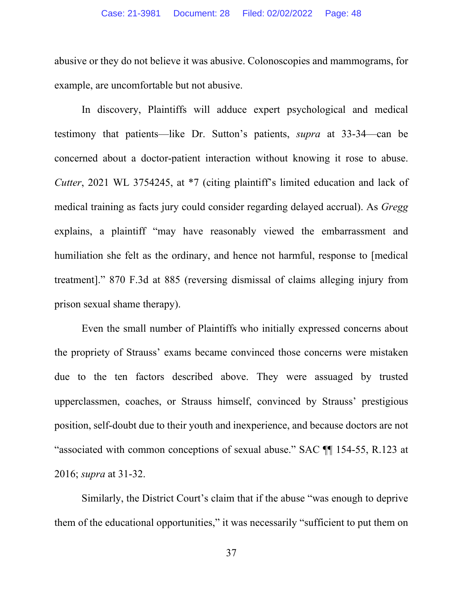abusive or they do not believe it was abusive. Colonoscopies and mammograms, for example, are uncomfortable but not abusive.

In discovery, Plaintiffs will adduce expert psychological and medical testimony that patients—like Dr. Sutton's patients, *supra* at 33-34—can be concerned about a doctor-patient interaction without knowing it rose to abuse. *Cutter*, 2021 WL 3754245, at \*7 (citing plaintiff's limited education and lack of medical training as facts jury could consider regarding delayed accrual). As *Gregg* explains, a plaintiff "may have reasonably viewed the embarrassment and humiliation she felt as the ordinary, and hence not harmful, response to [medical treatment]." 870 F.3d at 885 (reversing dismissal of claims alleging injury from prison sexual shame therapy).

Even the small number of Plaintiffs who initially expressed concerns about the propriety of Strauss' exams became convinced those concerns were mistaken due to the ten factors described above. They were assuaged by trusted upperclassmen, coaches, or Strauss himself, convinced by Strauss' prestigious position, self-doubt due to their youth and inexperience, and because doctors are not "associated with common conceptions of sexual abuse." SAC ¶¶ 154-55, R.123 at 2016; *supra* at 31-32.

Similarly, the District Court's claim that if the abuse "was enough to deprive them of the educational opportunities," it was necessarily "sufficient to put them on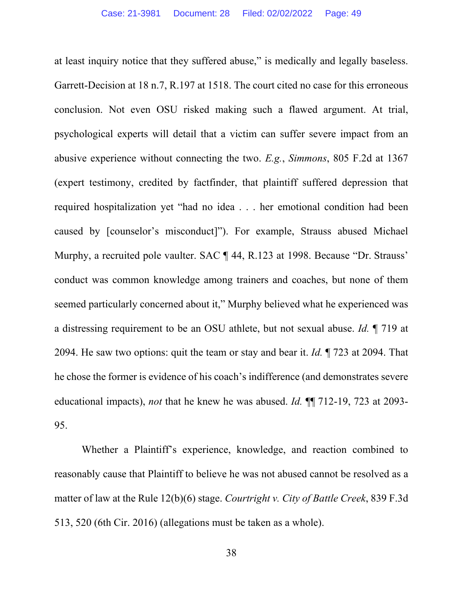at least inquiry notice that they suffered abuse," is medically and legally baseless. Garrett-Decision at 18 n.7, R.197 at 1518. The court cited no case for this erroneous conclusion. Not even OSU risked making such a flawed argument. At trial, psychological experts will detail that a victim can suffer severe impact from an abusive experience without connecting the two. *E.g.*, *Simmons*, 805 F.2d at 1367 (expert testimony, credited by factfinder, that plaintiff suffered depression that required hospitalization yet "had no idea . . . her emotional condition had been caused by [counselor's misconduct]"). For example, Strauss abused Michael Murphy, a recruited pole vaulter. SAC ¶ 44, R.123 at 1998. Because "Dr. Strauss' conduct was common knowledge among trainers and coaches, but none of them seemed particularly concerned about it," Murphy believed what he experienced was a distressing requirement to be an OSU athlete, but not sexual abuse. *Id.* ¶ 719 at 2094. He saw two options: quit the team or stay and bear it. *Id.* ¶ 723 at 2094. That he chose the former is evidence of his coach's indifference (and demonstrates severe educational impacts), *not* that he knew he was abused. *Id.* ¶¶ 712-19, 723 at 2093- 95.

Whether a Plaintiff's experience, knowledge, and reaction combined to reasonably cause that Plaintiff to believe he was not abused cannot be resolved as a matter of law at the Rule 12(b)(6) stage. *Courtright v. City of Battle Creek*, 839 F.3d 513, 520 (6th Cir. 2016) (allegations must be taken as a whole).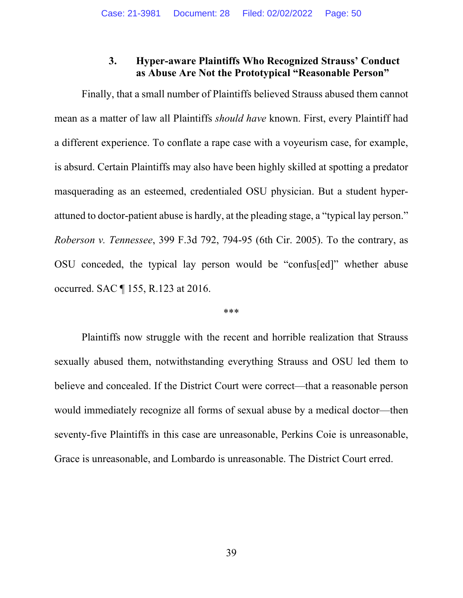## **3. Hyper-aware Plaintiffs Who Recognized Strauss' Conduct as Abuse Are Not the Prototypical "Reasonable Person"**

Finally, that a small number of Plaintiffs believed Strauss abused them cannot mean as a matter of law all Plaintiffs *should have* known. First, every Plaintiff had a different experience. To conflate a rape case with a voyeurism case, for example, is absurd. Certain Plaintiffs may also have been highly skilled at spotting a predator masquerading as an esteemed, credentialed OSU physician. But a student hyperattuned to doctor-patient abuse is hardly, at the pleading stage, a "typical lay person." *Roberson v. Tennessee*, 399 F.3d 792, 794-95 (6th Cir. 2005). To the contrary, as OSU conceded, the typical lay person would be "confus[ed]" whether abuse occurred. SAC ¶ 155, R.123 at 2016.

#### \*\*\*

Plaintiffs now struggle with the recent and horrible realization that Strauss sexually abused them, notwithstanding everything Strauss and OSU led them to believe and concealed. If the District Court were correct—that a reasonable person would immediately recognize all forms of sexual abuse by a medical doctor—then seventy-five Plaintiffs in this case are unreasonable, Perkins Coie is unreasonable, Grace is unreasonable, and Lombardo is unreasonable. The District Court erred.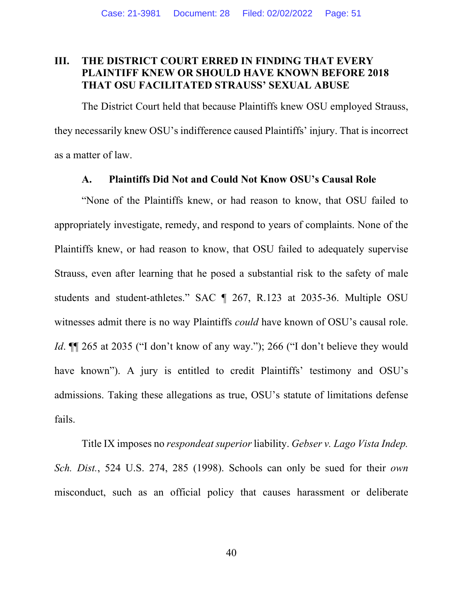## **III. THE DISTRICT COURT ERRED IN FINDING THAT EVERY PLAINTIFF KNEW OR SHOULD HAVE KNOWN BEFORE 2018 THAT OSU FACILITATED STRAUSS' SEXUAL ABUSE**

The District Court held that because Plaintiffs knew OSU employed Strauss, they necessarily knew OSU's indifference caused Plaintiffs' injury. That is incorrect as a matter of law.

#### **A. Plaintiffs Did Not and Could Not Know OSU's Causal Role**

"None of the Plaintiffs knew, or had reason to know, that OSU failed to appropriately investigate, remedy, and respond to years of complaints. None of the Plaintiffs knew, or had reason to know, that OSU failed to adequately supervise Strauss, even after learning that he posed a substantial risk to the safety of male students and student-athletes." SAC ¶ 267, R.123 at 2035-36. Multiple OSU witnesses admit there is no way Plaintiffs *could* have known of OSU's causal role. *Id*. **[1]** 265 at 2035 ("I don't know of any way."); 266 ("I don't believe they would have known"). A jury is entitled to credit Plaintiffs' testimony and OSU's admissions. Taking these allegations as true, OSU's statute of limitations defense fails.

<span id="page-50-1"></span><span id="page-50-0"></span>Title IX imposes no *respondeat superior* liability. *Gebser v. Lago Vista Indep. Sch. Dist.*, 524 U.S. 274, 285 (1998). Schools can only be sued for their *own*  misconduct, such as an official policy that causes harassment or deliberate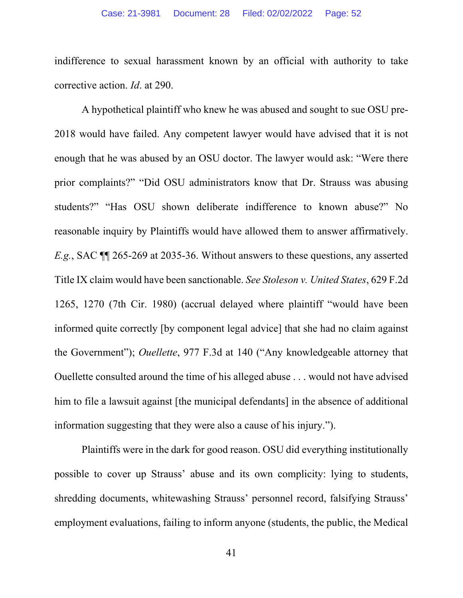indifference to sexual harassment known by an official with authority to take corrective action. *Id*. at 290.

A hypothetical plaintiff who knew he was abused and sought to sue OSU pre-2018 would have failed. Any competent lawyer would have advised that it is not enough that he was abused by an OSU doctor. The lawyer would ask: "Were there prior complaints?" "Did OSU administrators know that Dr. Strauss was abusing students?" "Has OSU shown deliberate indifference to known abuse?" No reasonable inquiry by Plaintiffs would have allowed them to answer affirmatively. *E.g.*, SAC ¶¶ 265-269 at 2035-36. Without answers to these questions, any asserted Title IX claim would have been sanctionable. *See Stoleson v. United States*, 629 F.2d 1265, 1270 (7th Cir. 1980) (accrual delayed where plaintiff "would have been informed quite correctly [by component legal advice] that she had no claim against the Government"); *Ouellette*, 977 F.3d at 140 ("Any knowledgeable attorney that Ouellette consulted around the time of his alleged abuse . . . would not have advised him to file a lawsuit against [the municipal defendants] in the absence of additional information suggesting that they were also a cause of his injury.").

Plaintiffs were in the dark for good reason. OSU did everything institutionally possible to cover up Strauss' abuse and its own complicity: lying to students, shredding documents, whitewashing Strauss' personnel record, falsifying Strauss' employment evaluations, failing to inform anyone (students, the public, the Medical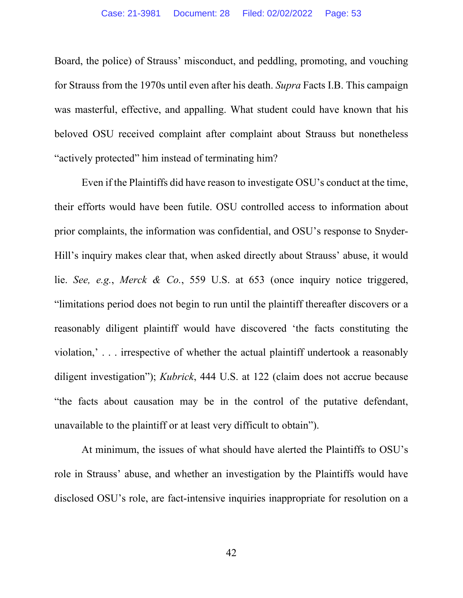Board, the police) of Strauss' misconduct, and peddling, promoting, and vouching for Strauss from the 1970s until even after his death. *Supra* Facts I.B. This campaign was masterful, effective, and appalling. What student could have known that his beloved OSU received complaint after complaint about Strauss but nonetheless "actively protected" him instead of terminating him?

Even if the Plaintiffs did have reason to investigate OSU's conduct at the time, their efforts would have been futile. OSU controlled access to information about prior complaints, the information was confidential, and OSU's response to Snyder-Hill's inquiry makes clear that, when asked directly about Strauss' abuse, it would lie. *See, e.g.*, *Merck & Co.*, 559 U.S. at 653 (once inquiry notice triggered, "limitations period does not begin to run until the plaintiff thereafter discovers or a reasonably diligent plaintiff would have discovered 'the facts constituting the violation,' . . . irrespective of whether the actual plaintiff undertook a reasonably diligent investigation"); *Kubrick*, 444 U.S. at 122 (claim does not accrue because "the facts about causation may be in the control of the putative defendant, unavailable to the plaintiff or at least very difficult to obtain").

At minimum, the issues of what should have alerted the Plaintiffs to OSU's role in Strauss' abuse, and whether an investigation by the Plaintiffs would have disclosed OSU's role, are fact-intensive inquiries inappropriate for resolution on a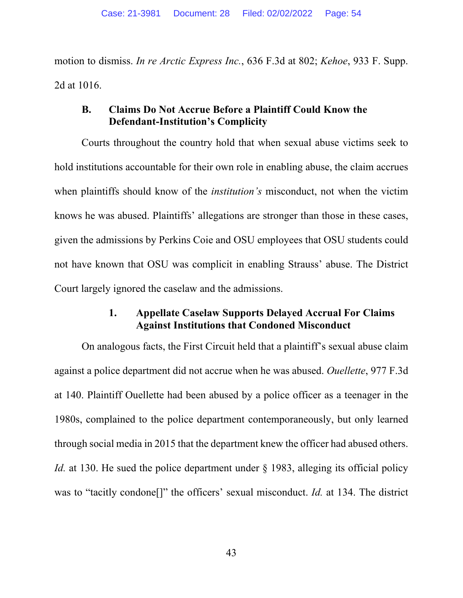motion to dismiss. *In re Arctic Express Inc.*, 636 F.3d at 802; *Kehoe*, 933 F. Supp. 2d at 1016.

## **B. Claims Do Not Accrue Before a Plaintiff Could Know the Defendant-Institution's Complicity**

Courts throughout the country hold that when sexual abuse victims seek to hold institutions accountable for their own role in enabling abuse, the claim accrues when plaintiffs should know of the *institution's* misconduct, not when the victim knows he was abused. Plaintiffs' allegations are stronger than those in these cases, given the admissions by Perkins Coie and OSU employees that OSU students could not have known that OSU was complicit in enabling Strauss' abuse. The District Court largely ignored the caselaw and the admissions.

## **1. Appellate Caselaw Supports Delayed Accrual For Claims Against Institutions that Condoned Misconduct**

On analogous facts, the First Circuit held that a plaintiff's sexual abuse claim against a police department did not accrue when he was abused. *Ouellette*, 977 F.3d at 140. Plaintiff Ouellette had been abused by a police officer as a teenager in the 1980s, complained to the police department contemporaneously, but only learned through social media in 2015 that the department knew the officer had abused others. *Id.* at 130. He sued the police department under § 1983, alleging its official policy was to "tacitly condone[]" the officers' sexual misconduct. *Id.* at 134. The district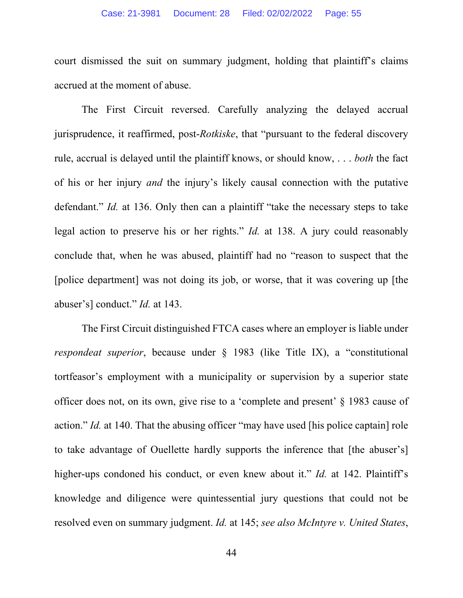court dismissed the suit on summary judgment, holding that plaintiff's claims accrued at the moment of abuse.

The First Circuit reversed. Carefully analyzing the delayed accrual jurisprudence, it reaffirmed, post-*Rotkiske*, that "pursuant to the federal discovery rule, accrual is delayed until the plaintiff knows, or should know, . . . *both* the fact of his or her injury *and* the injury's likely causal connection with the putative defendant." *Id.* at 136. Only then can a plaintiff "take the necessary steps to take legal action to preserve his or her rights." *Id.* at 138. A jury could reasonably conclude that, when he was abused, plaintiff had no "reason to suspect that the [police department] was not doing its job, or worse, that it was covering up [the abuser's] conduct." *Id.* at 143.

The First Circuit distinguished FTCA cases where an employer is liable under *respondeat superior*, because under § 1983 (like Title IX), a "constitutional tortfeasor's employment with a municipality or supervision by a superior state officer does not, on its own, give rise to a 'complete and present' § 1983 cause of action." *Id.* at 140. That the abusing officer "may have used [his police captain] role to take advantage of Ouellette hardly supports the inference that [the abuser's] higher-ups condoned his conduct, or even knew about it." *Id.* at 142. Plaintiff's knowledge and diligence were quintessential jury questions that could not be resolved even on summary judgment. *Id.* at 145; *see also McIntyre v. United States*,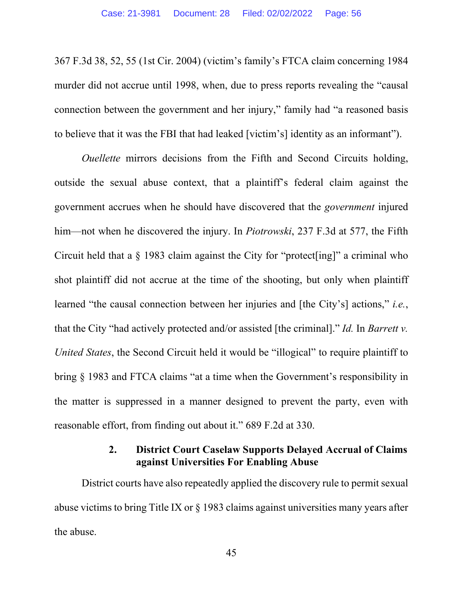367 F.3d 38, 52, 55 (1st Cir. 2004) (victim's family's FTCA claim concerning 1984 murder did not accrue until 1998, when, due to press reports revealing the "causal connection between the government and her injury," family had "a reasoned basis to believe that it was the FBI that had leaked [victim's] identity as an informant").

*Ouellette* mirrors decisions from the Fifth and Second Circuits holding, outside the sexual abuse context, that a plaintiff's federal claim against the government accrues when he should have discovered that the *government* injured him—not when he discovered the injury. In *Piotrowski*, 237 F.3d at 577, the Fifth Circuit held that a § 1983 claim against the City for "protect[ing]" a criminal who shot plaintiff did not accrue at the time of the shooting, but only when plaintiff learned "the causal connection between her injuries and [the City's] actions," *i.e.*, that the City "had actively protected and/or assisted [the criminal]." *Id.* In *Barrett v. United States*, the Second Circuit held it would be "illogical" to require plaintiff to bring § 1983 and FTCA claims "at a time when the Government's responsibility in the matter is suppressed in a manner designed to prevent the party, even with reasonable effort, from finding out about it." 689 F.2d at 330.

# **2. District Court Caselaw Supports Delayed Accrual of Claims against Universities For Enabling Abuse**

District courts have also repeatedly applied the discovery rule to permit sexual abuse victims to bring Title IX or § 1983 claims against universities many years after the abuse.

45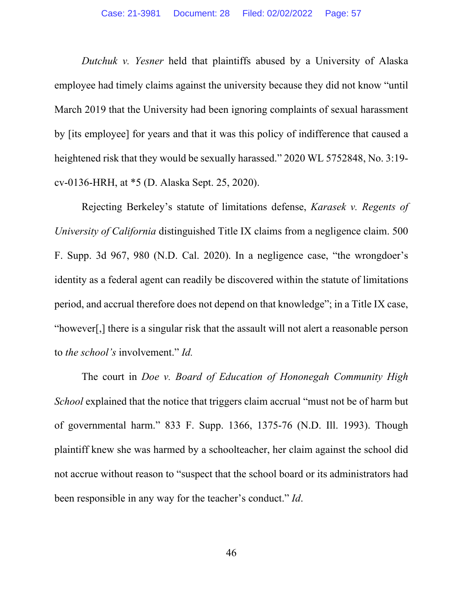*Dutchuk v. Yesner* held that plaintiffs abused by a University of Alaska employee had timely claims against the university because they did not know "until March 2019 that the University had been ignoring complaints of sexual harassment by [its employee] for years and that it was this policy of indifference that caused a heightened risk that they would be sexually harassed." 2020 WL 5752848, No. 3:19 cv-0136-HRH, at \*5 (D. Alaska Sept. 25, 2020).

Rejecting Berkeley's statute of limitations defense, *Karasek v. Regents of University of California* distinguished Title IX claims from a negligence claim. 500 F. Supp. 3d 967, 980 (N.D. Cal. 2020). In a negligence case, "the wrongdoer's identity as a federal agent can readily be discovered within the statute of limitations period, and accrual therefore does not depend on that knowledge"; in a Title IX case, "however[,] there is a singular risk that the assault will not alert a reasonable person to *the school's* involvement." *Id.*

The court in *Doe v. Board of Education of Hononegah Community High School* explained that the notice that triggers claim accrual "must not be of harm but of governmental harm." 833 F. Supp. 1366, 1375-76 (N.D. Ill. 1993). Though plaintiff knew she was harmed by a schoolteacher, her claim against the school did not accrue without reason to "suspect that the school board or its administrators had been responsible in any way for the teacher's conduct." *Id*.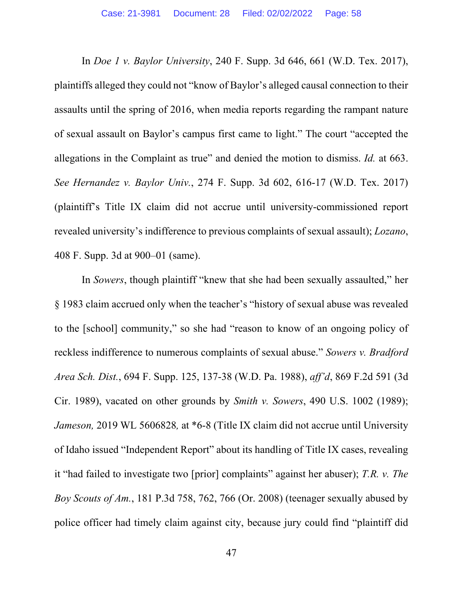In *Doe 1 v. Baylor University*, 240 F. Supp. 3d 646, 661 (W.D. Tex. 2017), plaintiffs alleged they could not "know of Baylor's alleged causal connection to their assaults until the spring of 2016, when media reports regarding the rampant nature of sexual assault on Baylor's campus first came to light." The court "accepted the allegations in the Complaint as true" and denied the motion to dismiss. *Id.* at 663. *See Hernandez v. Baylor Univ.*, 274 F. Supp. 3d 602, 616-17 (W.D. Tex. 2017) (plaintiff's Title IX claim did not accrue until university-commissioned report revealed university's indifference to previous complaints of sexual assault); *Lozano*, 408 F. Supp. 3d at 900–01 (same).

In *Sowers*, though plaintiff "knew that she had been sexually assaulted," her § 1983 claim accrued only when the teacher's "history of sexual abuse was revealed to the [school] community," so she had "reason to know of an ongoing policy of reckless indifference to numerous complaints of sexual abuse." *Sowers v. Bradford Area Sch. Dist.*, 694 F. Supp. 125, 137-38 (W.D. Pa. 1988), *aff'd*, 869 F.2d 591 (3d Cir. 1989), vacated on other grounds by *Smith v. Sowers*, 490 U.S. 1002 (1989); *Jameson,* 2019 WL 5606828*,* at \*6-8 (Title IX claim did not accrue until University of Idaho issued "Independent Report" about its handling of Title IX cases, revealing it "had failed to investigate two [prior] complaints" against her abuser); *T.R. v. The Boy Scouts of Am.*, 181 P.3d 758, 762, 766 (Or. 2008) (teenager sexually abused by police officer had timely claim against city, because jury could find "plaintiff did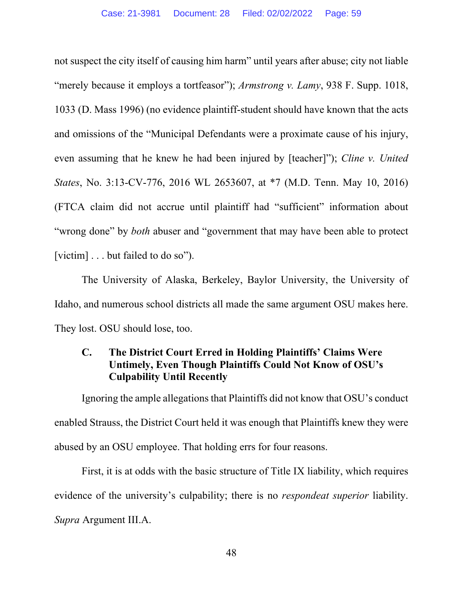not suspect the city itself of causing him harm" until years after abuse; city not liable "merely because it employs a tortfeasor"); *Armstrong v. Lamy*, 938 F. Supp. 1018, 1033 (D. Mass 1996) (no evidence plaintiff-student should have known that the acts and omissions of the "Municipal Defendants were a proximate cause of his injury, even assuming that he knew he had been injured by [teacher]"); *Cline v. United States*, No. 3:13-CV-776, 2016 WL 2653607, at \*7 (M.D. Tenn. May 10, 2016) (FTCA claim did not accrue until plaintiff had "sufficient" information about "wrong done" by *both* abuser and "government that may have been able to protect [victim] . . . but failed to do so").

The University of Alaska, Berkeley, Baylor University, the University of Idaho, and numerous school districts all made the same argument OSU makes here. They lost. OSU should lose, too.

# **C. The District Court Erred in Holding Plaintiffs' Claims Were Untimely, Even Though Plaintiffs Could Not Know of OSU's Culpability Until Recently**

Ignoring the ample allegations that Plaintiffs did not know that OSU's conduct enabled Strauss, the District Court held it was enough that Plaintiffs knew they were abused by an OSU employee. That holding errs for four reasons.

First, it is at odds with the basic structure of Title IX liability, which requires evidence of the university's culpability; there is no *respondeat superior* liability. *Supra* Argument III.A.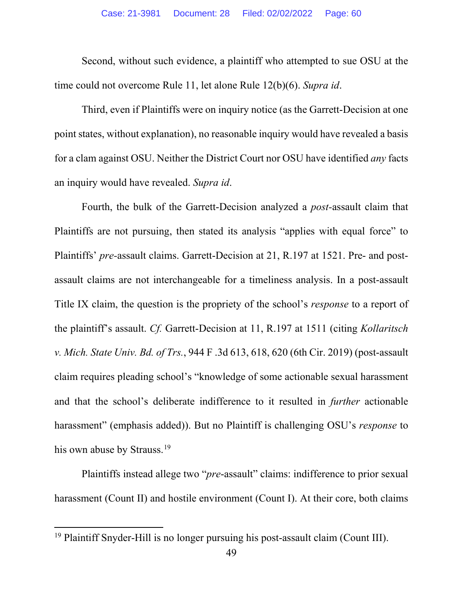Second, without such evidence, a plaintiff who attempted to sue OSU at the time could not overcome Rule 11, let alone Rule 12(b)(6). *Supra id*.

Third, even if Plaintiffs were on inquiry notice (as the Garrett-Decision at one point states, without explanation), no reasonable inquiry would have revealed a basis for a clam against OSU. Neither the District Court nor OSU have identified *any* facts an inquiry would have revealed. *Supra id*.

Fourth, the bulk of the Garrett-Decision analyzed a *post-*assault claim that Plaintiffs are not pursuing, then stated its analysis "applies with equal force" to Plaintiffs' *pre-*assault claims. Garrett-Decision at 21, R.197 at 1521. Pre- and postassault claims are not interchangeable for a timeliness analysis. In a post-assault Title IX claim, the question is the propriety of the school's *response* to a report of the plaintiff's assault. *Cf.* Garrett-Decision at 11, R.197 at 1511 (citing *Kollaritsch v. Mich. State Univ. Bd. of Trs.*, 944 F .3d 613, 618, 620 (6th Cir. 2019) (post-assault claim requires pleading school's "knowledge of some actionable sexual harassment and that the school's deliberate indifference to it resulted in *further* actionable harassment" (emphasis added)). But no Plaintiff is challenging OSU's *response* to his own abuse by Strauss.<sup>[19](#page-65-0)</sup>

Plaintiffs instead allege two "*pre*-assault" claims: indifference to prior sexual harassment (Count II) and hostile environment (Count I). At their core, both claims

<sup>&</sup>lt;sup>19</sup> Plaintiff Snyder-Hill is no longer pursuing his post-assault claim (Count III).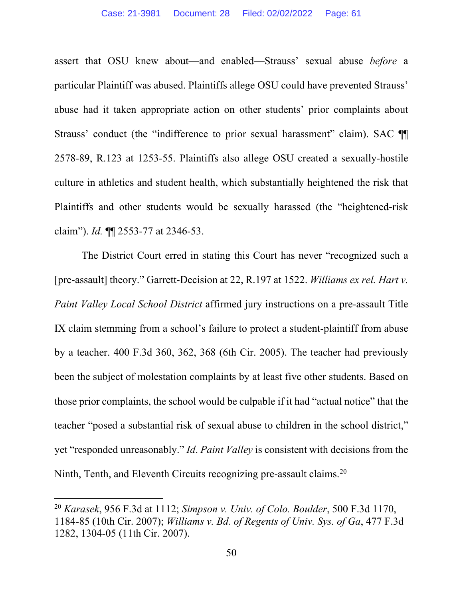assert that OSU knew about—and enabled—Strauss' sexual abuse *before* a particular Plaintiff was abused. Plaintiffs allege OSU could have prevented Strauss' abuse had it taken appropriate action on other students' prior complaints about Strauss' conduct (the "indifference to prior sexual harassment" claim). SAC II 2578-89, R.123 at 1253-55. Plaintiffs also allege OSU created a sexually-hostile culture in athletics and student health, which substantially heightened the risk that Plaintiffs and other students would be sexually harassed (the "heightened-risk claim"). *Id.* ¶¶ 2553-77 at 2346-53.

The District Court erred in stating this Court has never "recognized such a [pre-assault] theory." Garrett-Decision at 22, R.197 at 1522. *Williams ex rel. Hart v. Paint Valley Local School District* affirmed jury instructions on a pre-assault Title IX claim stemming from a school's failure to protect a student-plaintiff from abuse by a teacher. 400 F.3d 360, 362, 368 (6th Cir. 2005). The teacher had previously been the subject of molestation complaints by at least five other students. Based on those prior complaints, the school would be culpable if it had "actual notice" that the teacher "posed a substantial risk of sexual abuse to children in the school district," yet "responded unreasonably." *Id*. *Paint Valley* is consistent with decisions from the Ninth, Tenth, and Eleventh Circuits recognizing pre-assault claims.<sup>[20](#page-66-0)</sup>

<sup>20</sup> *Karasek*, 956 F.3d at 1112; *Simpson v. Univ. of Colo. Boulder*, 500 F.3d 1170, 1184-85 (10th Cir. 2007); *Williams v. Bd. of Regents of Univ. Sys. of Ga*, 477 F.3d 1282, 1304-05 (11th Cir. 2007).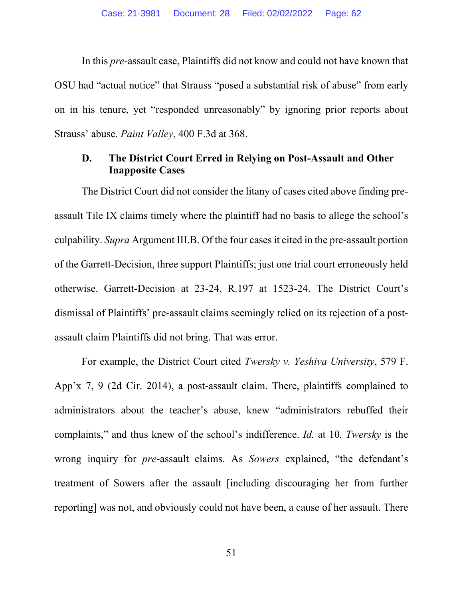In this *pre*-assault case, Plaintiffs did not know and could not have known that OSU had "actual notice" that Strauss "posed a substantial risk of abuse" from early on in his tenure, yet "responded unreasonably" by ignoring prior reports about Strauss' abuse. *Paint Valley*, 400 F.3d at 368.

#### **D. The District Court Erred in Relying on Post-Assault and Other Inapposite Cases**

The District Court did not consider the litany of cases cited above finding preassault Tile IX claims timely where the plaintiff had no basis to allege the school's culpability. *Supra* Argument III.B. Of the four cases it cited in the pre-assault portion of the Garrett-Decision, three support Plaintiffs; just one trial court erroneously held otherwise. Garrett-Decision at 23-24, R.197 at 1523-24. The District Court's dismissal of Plaintiffs' pre-assault claims seemingly relied on its rejection of a postassault claim Plaintiffs did not bring. That was error.

For example, the District Court cited *Twersky v. Yeshiva University*, 579 F. App'x 7, 9 (2d Cir. 2014), a post-assault claim. There, plaintiffs complained to administrators about the teacher's abuse, knew "administrators rebuffed their complaints," and thus knew of the school's indifference. *Id.* at 10*. Twersky* is the wrong inquiry for *pre*-assault claims. As *Sowers* explained, "the defendant's treatment of Sowers after the assault [including discouraging her from further reporting] was not, and obviously could not have been, a cause of her assault. There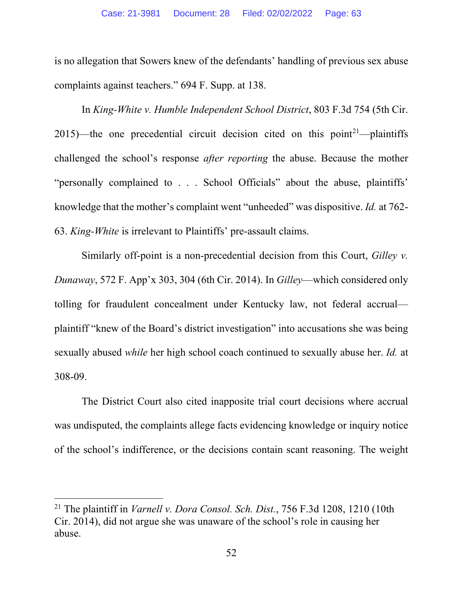is no allegation that Sowers knew of the defendants' handling of previous sex abuse complaints against teachers." 694 F. Supp. at 138.

In *King-White v. Humble Independent School District*, 803 F.3d 754 (5th Cir. 2015)—the one precedential circuit decision cited on this point<sup>21</sup>—plaintiffs challenged the school's response *after reporting* the abuse. Because the mother "personally complained to . . . School Officials" about the abuse, plaintiffs' knowledge that the mother's complaint went "unheeded" was dispositive. *Id.* at 762- 63. *King-White* is irrelevant to Plaintiffs' pre-assault claims.

Similarly off-point is a non-precedential decision from this Court, *Gilley v. Dunaway*, 572 F. App'x 303, 304 (6th Cir. 2014). In *Gilley*—which considered only tolling for fraudulent concealment under Kentucky law, not federal accrual plaintiff "knew of the Board's district investigation" into accusations she was being sexually abused *while* her high school coach continued to sexually abuse her. *Id.* at 308-09.

The District Court also cited inapposite trial court decisions where accrual was undisputed, the complaints allege facts evidencing knowledge or inquiry notice of the school's indifference, or the decisions contain scant reasoning. The weight

<sup>21</sup> The plaintiff in *Varnell v. Dora Consol. Sch. Dist.*, 756 F.3d 1208, 1210 (10th Cir. 2014), did not argue she was unaware of the school's role in causing her abuse.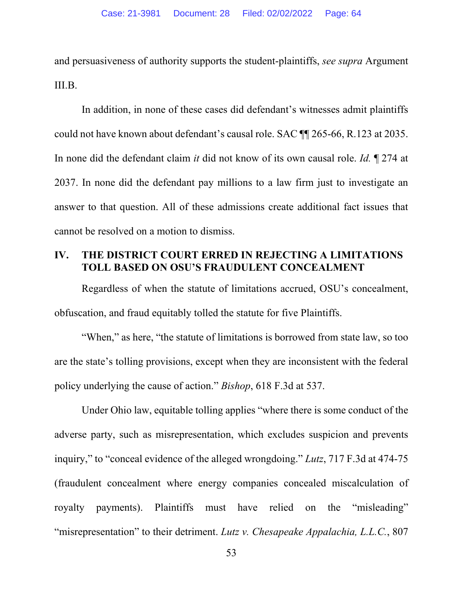and persuasiveness of authority supports the student-plaintiffs, *see supra* Argument III.B.

In addition, in none of these cases did defendant's witnesses admit plaintiffs could not have known about defendant's causal role. SAC ¶¶ 265-66, R.123 at 2035. In none did the defendant claim *it* did not know of its own causal role. *Id.* ¶ 274 at 2037. In none did the defendant pay millions to a law firm just to investigate an answer to that question. All of these admissions create additional fact issues that cannot be resolved on a motion to dismiss.

### **IV. THE DISTRICT COURT ERRED IN REJECTING A LIMITATIONS TOLL BASED ON OSU'S FRAUDULENT CONCEALMENT**

Regardless of when the statute of limitations accrued, OSU's concealment, obfuscation, and fraud equitably tolled the statute for five Plaintiffs.

"When," as here, "the statute of limitations is borrowed from state law, so too are the state's tolling provisions, except when they are inconsistent with the federal policy underlying the cause of action." *Bishop*, 618 F.3d at 537.

Under Ohio law, equitable tolling applies "where there is some conduct of the adverse party, such as misrepresentation, which excludes suspicion and prevents inquiry," to "conceal evidence of the alleged wrongdoing." *Lutz*, 717 F.3d at 474-75 (fraudulent concealment where energy companies concealed miscalculation of royalty payments). Plaintiffs must have relied on the "misleading" "misrepresentation" to their detriment. *Lutz v. Chesapeake Appalachia, L.L.C.*, 807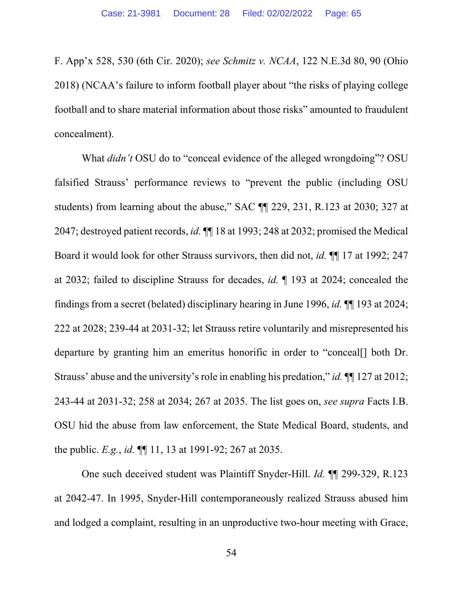F. App'x 528, 530 (6th Cir. 2020); *see Schmitz v. NCAA*, 122 N.E.3d 80, 90 (Ohio 2018) (NCAA's failure to inform football player about "the risks of playing college football and to share material information about those risks" amounted to fraudulent concealment).

What *didn't* OSU do to "conceal evidence of the alleged wrongdoing"? OSU falsified Strauss' performance reviews to "prevent the public (including OSU students) from learning about the abuse," SAC ¶¶ 229, 231, R.123 at 2030; 327 at 2047; destroyed patient records, *id.* ¶¶ 18 at 1993; 248 at 2032; promised the Medical Board it would look for other Strauss survivors, then did not, *id.* ¶¶ 17 at 1992; 247 at 2032; failed to discipline Strauss for decades, *id.* ¶ 193 at 2024; concealed the findings from a secret (belated) disciplinary hearing in June 1996, *id.* ¶¶ 193 at 2024; 222 at 2028; 239-44 at 2031-32; let Strauss retire voluntarily and misrepresented his departure by granting him an emeritus honorific in order to "conceal[] both Dr. Strauss' abuse and the university's role in enabling his predation," *id.* ¶¶ 127 at 2012; 243-44 at 2031-32; 258 at 2034; 267 at 2035. The list goes on, *see supra* Facts I.B. OSU hid the abuse from law enforcement, the State Medical Board, students, and the public. *E.g.*, *id.* ¶¶ 11, 13 at 1991-92; 267 at 2035.

One such deceived student was Plaintiff Snyder-Hill. *Id.* ¶¶ 299-329, R.123 at 2042-47. In 1995, Snyder-Hill contemporaneously realized Strauss abused him and lodged a complaint, resulting in an unproductive two-hour meeting with Grace,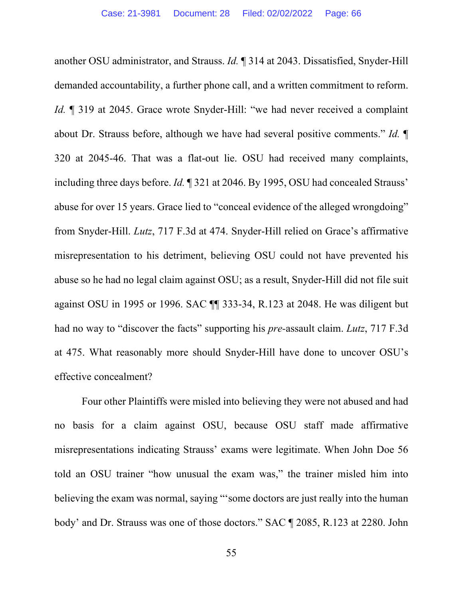another OSU administrator, and Strauss. *Id.* ¶ 314 at 2043. Dissatisfied, Snyder-Hill demanded accountability, a further phone call, and a written commitment to reform. *Id.*  $\parallel$  319 at 2045. Grace wrote Snyder-Hill: "we had never received a complaint about Dr. Strauss before, although we have had several positive comments." *Id.* ¶ 320 at 2045-46. That was a flat-out lie. OSU had received many complaints, including three days before. *Id.* ¶ 321 at 2046. By 1995, OSU had concealed Strauss' abuse for over 15 years. Grace lied to "conceal evidence of the alleged wrongdoing" from Snyder-Hill. *Lutz*, 717 F.3d at 474. Snyder-Hill relied on Grace's affirmative misrepresentation to his detriment, believing OSU could not have prevented his abuse so he had no legal claim against OSU; as a result, Snyder-Hill did not file suit against OSU in 1995 or 1996. SAC ¶¶ 333-34, R.123 at 2048. He was diligent but had no way to "discover the facts" supporting his *pre-*assault claim. *Lutz*, 717 F.3d at 475. What reasonably more should Snyder-Hill have done to uncover OSU's effective concealment?

<span id="page-65-0"></span>Four other Plaintiffs were misled into believing they were not abused and had no basis for a claim against OSU, because OSU staff made affirmative misrepresentations indicating Strauss' exams were legitimate. When John Doe 56 told an OSU trainer "how unusual the exam was," the trainer misled him into believing the exam was normal, saying "'some doctors are just really into the human body' and Dr. Strauss was one of those doctors." SAC ¶ 2085, R.123 at 2280. John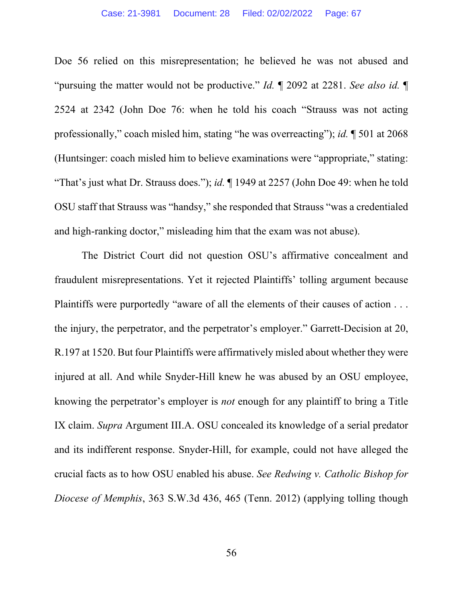Doe 56 relied on this misrepresentation; he believed he was not abused and "pursuing the matter would not be productive." *Id.* ¶ 2092 at 2281. *See also id.* ¶ 2524 at 2342 (John Doe 76: when he told his coach "Strauss was not acting professionally," coach misled him, stating "he was overreacting"); *id.* ¶ 501 at 2068 (Huntsinger: coach misled him to believe examinations were "appropriate," stating: "That's just what Dr. Strauss does."); *id.* ¶ 1949 at 2257 (John Doe 49: when he told OSU staff that Strauss was "handsy," she responded that Strauss "was a credentialed and high-ranking doctor," misleading him that the exam was not abuse).

<span id="page-66-0"></span>The District Court did not question OSU's affirmative concealment and fraudulent misrepresentations. Yet it rejected Plaintiffs' tolling argument because Plaintiffs were purportedly "aware of all the elements of their causes of action . . . the injury, the perpetrator, and the perpetrator's employer." Garrett-Decision at 20, R.197 at 1520. But four Plaintiffs were affirmatively misled about whether they were injured at all. And while Snyder-Hill knew he was abused by an OSU employee, knowing the perpetrator's employer is *not* enough for any plaintiff to bring a Title IX claim. *Supra* Argument III.A. OSU concealed its knowledge of a serial predator and its indifferent response. Snyder-Hill, for example, could not have alleged the crucial facts as to how OSU enabled his abuse. *See Redwing v. Catholic Bishop for Diocese of Memphis*, 363 S.W.3d 436, 465 (Tenn. 2012) (applying tolling though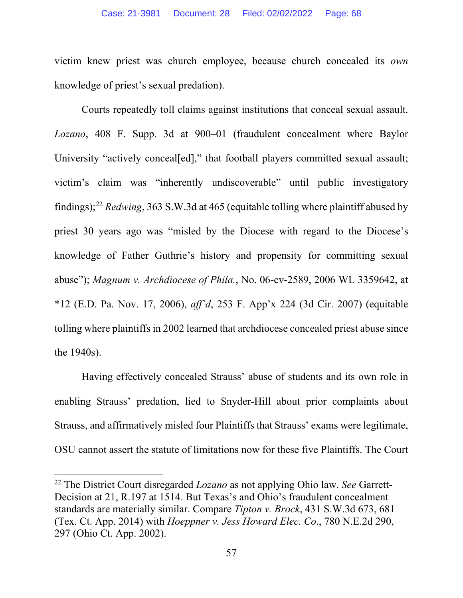victim knew priest was church employee, because church concealed its *own* knowledge of priest's sexual predation).

Courts repeatedly toll claims against institutions that conceal sexual assault. *Lozano*, 408 F. Supp. 3d at 900–01 (fraudulent concealment where Baylor University "actively conceal[ed]," that football players committed sexual assault; victim's claim was "inherently undiscoverable" until public investigatory findings);[22](#page-72-0) *Redwing*, 363 S.W.3d at 465 (equitable tolling where plaintiff abused by priest 30 years ago was "misled by the Diocese with regard to the Diocese's knowledge of Father Guthrie's history and propensity for committing sexual abuse"); *Magnum v. Archdiocese of Phila.*, No. 06-cv-2589, 2006 WL 3359642, at \*12 (E.D. Pa. Nov. 17, 2006), *aff'd*, 253 F. App'x 224 (3d Cir. 2007) (equitable tolling where plaintiffs in 2002 learned that archdiocese concealed priest abuse since the 1940s).

Having effectively concealed Strauss' abuse of students and its own role in enabling Strauss' predation, lied to Snyder-Hill about prior complaints about Strauss, and affirmatively misled four Plaintiffs that Strauss' exams were legitimate, OSU cannot assert the statute of limitations now for these five Plaintiffs. The Court

<sup>22</sup> The District Court disregarded *Lozano* as not applying Ohio law. *See* Garrett-Decision at 21, R.197 at 1514. But Texas's and Ohio's fraudulent concealment standards are materially similar. Compare *Tipton v. Brock*, 431 S.W.3d 673, 681 (Tex. Ct. App. 2014) with *Hoeppner v. Jess Howard Elec. Co*., 780 N.E.2d 290, 297 (Ohio Ct. App. 2002).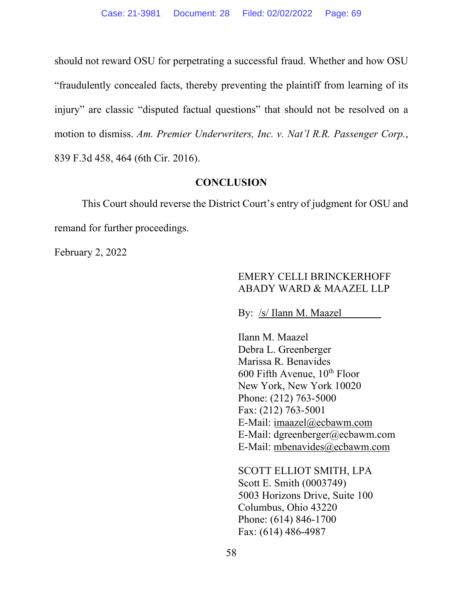should not reward OSU for perpetrating a successful fraud. Whether and how OSU "fraudulently concealed facts, thereby preventing the plaintiff from learning of its injury" are classic "disputed factual questions" that should not be resolved on a motion to dismiss. *Am. Premier Underwriters, Inc. v. Nat'l R.R. Passenger Corp.*, 839 F.3d 458, 464 (6th Cir. 2016).

#### **CONCLUSION**

This Court should reverse the District Court's entry of judgment for OSU and remand for further proceedings.

February 2, 2022

# EMERY CELLI BRINCKERHOFF ABADY WARD & MAAZEL LLP

By: /s/ Ilann M. Maazel

Ilann M. Maazel Debra L. Greenberger Marissa R. Benavides 600 Fifth Avenue,  $10^{th}$  Floor New York, New York 10020 Phone: (212) 763-5000 Fax: (212) 763-5001 E-Mail: [imaazel@ecbawm.com](mailto:imaazel@ecbawm.com) E-Mail: dgreenberger@ecbawm.com E-Mail: [mbenavides@ecbawm.com](mailto:mbenavides@ecbawm.com) 

<span id="page-68-0"></span>SCOTT ELLIOT SMITH, LPA Scott E. Smith (0003749) 5003 Horizons Drive, Suite 100 Columbus, Ohio 43220 Phone: (614) 846-1700 Fax: (614) 486-4987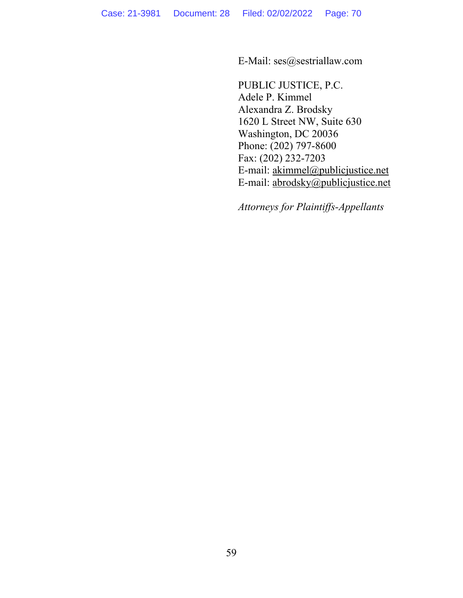E-Mail: ses@sestriallaw.com

PUBLIC JUSTICE, P.C. Adele P. Kimmel Alexandra Z. Brodsky 1620 L Street NW, Suite 630 Washington, DC 20036 Phone: (202) 797-8600 Fax: (202) 232-7203 E-mail: [akimmel@publicjustice.net](mailto:akimmel@publicjustice.net) E-mail: [abrodsky@publicjustice.net](mailto:abrodsky@publicjustice.net)

*Attorneys for Plaintiffs-Appellants*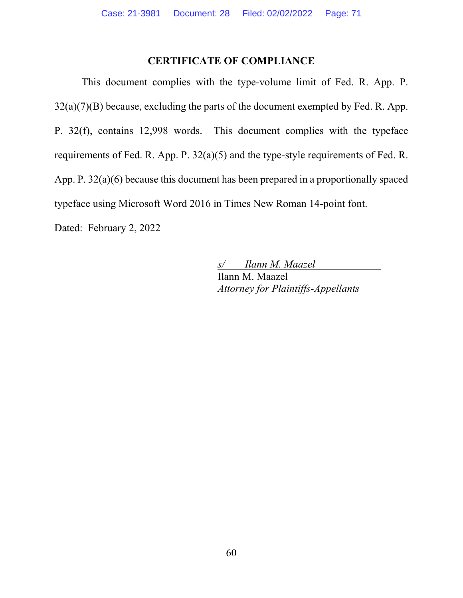# **CERTIFICATE OF COMPLIANCE**

 This document complies with the type-volume limit of Fed. R. App. P.  $32(a)(7)(B)$  because, excluding the parts of the document exempted by Fed. R. App. P. 32(f), contains 12,998 words. This document complies with the typeface requirements of Fed. R. App. P. 32(a)(5) and the type-style requirements of Fed. R. App. P. 32(a)(6) because this document has been prepared in a proportionally spaced typeface using Microsoft Word 2016 in Times New Roman 14-point font. Dated: February 2, 2022

> *s/ Ilann M. Maazel*  Ilann M. Maazel *Attorney for Plaintiffs-Appellants*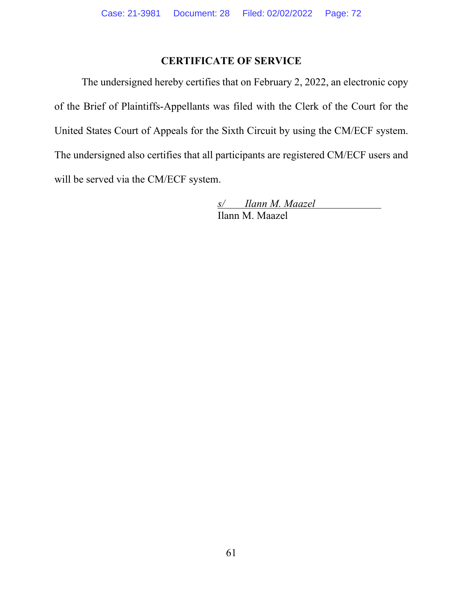# **CERTIFICATE OF SERVICE**

The undersigned hereby certifies that on February 2, 2022, an electronic copy of the Brief of Plaintiffs-Appellants was filed with the Clerk of the Court for the United States Court of Appeals for the Sixth Circuit by using the CM/ECF system. The undersigned also certifies that all participants are registered CM/ECF users and will be served via the CM/ECF system.

> *s/ Ilann M. Maazel*  Ilann M. Maazel